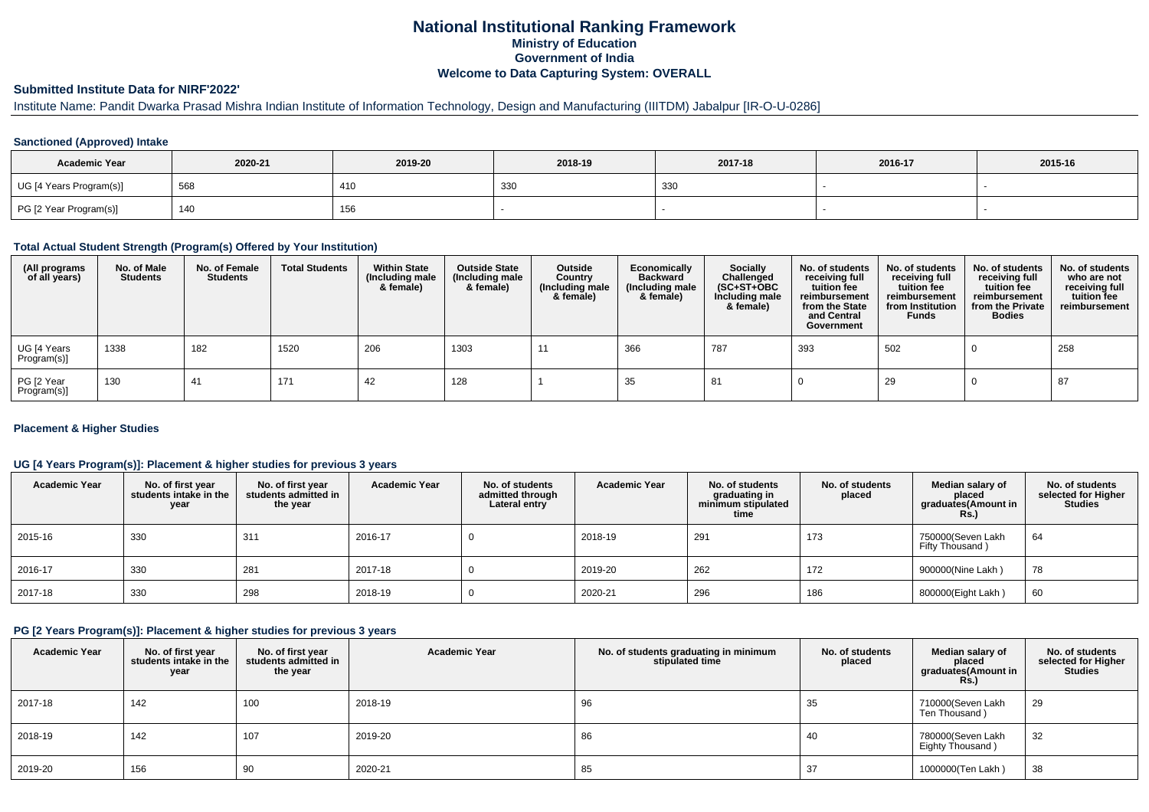## **National Institutional Ranking FrameworkMinistry of Education Government of IndiaWelcome to Data Capturing System: OVERALL**

#### **Submitted Institute Data for NIRF'2022'**

# Institute Name: Pandit Dwarka Prasad Mishra Indian Institute of Information Technology, Design and Manufacturing (IIITDM) Jabalpur [IR-O-U-0286]

### **Sanctioned (Approved) Intake**

| <b>Academic Year</b>    | 2020-21 | 2019-20 | 2018-19 | 2017-18 | 2016-17 | 2015-16 |
|-------------------------|---------|---------|---------|---------|---------|---------|
| UG [4 Years Program(s)] | 568     | 410     | 330     | 330     |         |         |
| PG [2 Year Program(s)]  | 140     | 156     |         |         |         |         |

#### **Total Actual Student Strength (Program(s) Offered by Your Institution)**

| (All programs<br>of all years) | No. of Male<br><b>Students</b> | No. of Female<br>Students | <b>Total Students</b> | <b>Within State</b><br>(Including male<br>& female) | <b>Outside State</b><br>(Including male<br>& female) | Outside<br>Country<br>(Including male<br>& female) | Economically<br><b>Backward</b><br>(Including male<br>& female) | <b>Socially</b><br>Challenged<br>$(SC+ST+OBC)$<br>Including male<br>& female) | No. of students<br>receiving full<br>tuition fee<br>reimbursement<br>from the State<br>and Central<br>Government | No. of students<br>receiving full<br>tuition fee<br>reimbursement<br>from Institution<br><b>Funds</b> | No. of students<br>receiving full<br>tuition fee<br>reimbursement<br>from the Private<br><b>Bodies</b> | No. of students<br>who are not<br>receiving full<br>tuition fee<br>reimbursement |
|--------------------------------|--------------------------------|---------------------------|-----------------------|-----------------------------------------------------|------------------------------------------------------|----------------------------------------------------|-----------------------------------------------------------------|-------------------------------------------------------------------------------|------------------------------------------------------------------------------------------------------------------|-------------------------------------------------------------------------------------------------------|--------------------------------------------------------------------------------------------------------|----------------------------------------------------------------------------------|
| UG [4 Years<br>Program(s)]     | 1338                           | 182                       | 1520                  | 206                                                 | 1303                                                 | -11                                                | 366                                                             | 787                                                                           | 393                                                                                                              | 502                                                                                                   |                                                                                                        | 258                                                                              |
| PG [2 Year<br>Program(s)]      | 130                            | 41                        | 171                   | 42                                                  | 128                                                  |                                                    | 35                                                              | 81                                                                            |                                                                                                                  | 29                                                                                                    |                                                                                                        | 87                                                                               |

### **Placement & Higher Studies**

### **UG [4 Years Program(s)]: Placement & higher studies for previous 3 years**

| <b>Academic Year</b> | No. of first year<br>students intake in the<br>year | No. of first vear<br>students admitted in<br>the year | <b>Academic Year</b> | No. of students<br>admitted through<br>Lateral entry | <b>Academic Year</b> | No. of students<br>graduating in<br>minimum stipulated<br>time | No. of students<br>placed | Median salary of<br>placed<br>graduates(Amount in<br><b>Rs.)</b> | No. of students<br>selected for Higher<br>Studies |
|----------------------|-----------------------------------------------------|-------------------------------------------------------|----------------------|------------------------------------------------------|----------------------|----------------------------------------------------------------|---------------------------|------------------------------------------------------------------|---------------------------------------------------|
| 2015-16              | 330                                                 | 31'                                                   | 2016-17              |                                                      | 2018-19              | 291                                                            | 173                       | 750000(Seven Lakh<br>Fifty Thousand)                             | 64                                                |
| 2016-17              | 330                                                 | 281                                                   | 2017-18              |                                                      | 2019-20              | 262                                                            | 172                       | 900000(Nine Lakh)                                                | 78                                                |
| 2017-18              | 330                                                 | 298                                                   | 2018-19              |                                                      | 2020-21              | 296                                                            | 186                       | 800000(Eight Lakh)                                               | 60                                                |

#### **PG [2 Years Program(s)]: Placement & higher studies for previous 3 years**

| <b>Academic Year</b> | No. of first year<br>students intake in the<br>year | No. of first year<br>students admitted in<br>the year | <b>Academic Year</b> | No. of students graduating in minimum<br>stipulated time | No. of students<br>placed | Median salary of<br>placed<br>graduates(Amount in<br><b>Rs.)</b> | No. of students<br>selected for Higher<br><b>Studies</b> |
|----------------------|-----------------------------------------------------|-------------------------------------------------------|----------------------|----------------------------------------------------------|---------------------------|------------------------------------------------------------------|----------------------------------------------------------|
| 2017-18              | 142                                                 | 100                                                   | 2018-19              | 96                                                       | 35                        | 710000(Seven Lakh<br>Ten Thousand)                               | 29                                                       |
| 2018-19              | 142                                                 | 107                                                   | 2019-20              | 86                                                       | 40                        | 780000(Seven Lakh<br>Eighty Thousand)                            | 32                                                       |
| 2019-20              | 156                                                 | 90                                                    | 2020-21              | 85                                                       | 37                        | 1000000(Ten Lakh)                                                | 38                                                       |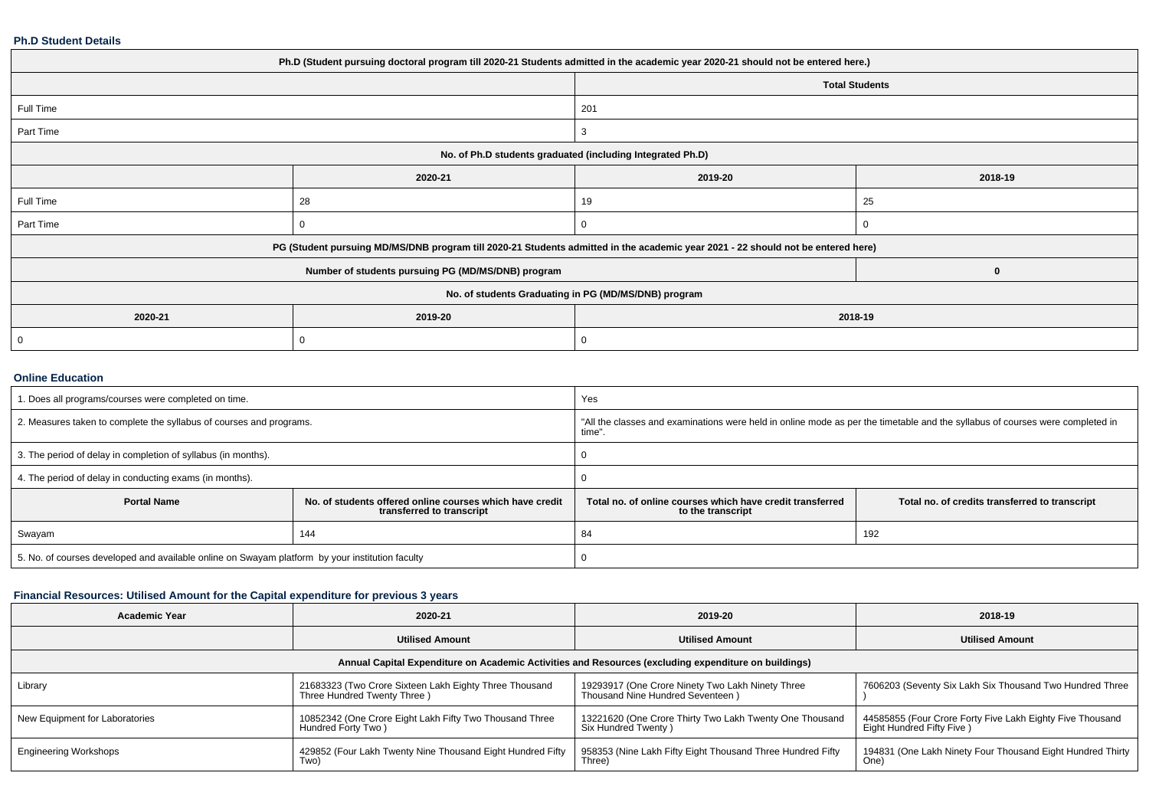#### **Ph.D Student Details**

| Ph.D (Student pursuing doctoral program till 2020-21 Students admitted in the academic year 2020-21 should not be entered here.) |                                                                                                                                  |                                                      |                       |  |  |  |
|----------------------------------------------------------------------------------------------------------------------------------|----------------------------------------------------------------------------------------------------------------------------------|------------------------------------------------------|-----------------------|--|--|--|
|                                                                                                                                  |                                                                                                                                  |                                                      | <b>Total Students</b> |  |  |  |
| Full Time                                                                                                                        |                                                                                                                                  | 201                                                  |                       |  |  |  |
| Part Time                                                                                                                        |                                                                                                                                  | 3                                                    |                       |  |  |  |
| No. of Ph.D students graduated (including Integrated Ph.D)                                                                       |                                                                                                                                  |                                                      |                       |  |  |  |
|                                                                                                                                  | 2020-21                                                                                                                          | 2019-20                                              | 2018-19               |  |  |  |
| Full Time                                                                                                                        | 28                                                                                                                               | 19                                                   | 25                    |  |  |  |
| Part Time                                                                                                                        | C                                                                                                                                |                                                      |                       |  |  |  |
|                                                                                                                                  | PG (Student pursuing MD/MS/DNB program till 2020-21 Students admitted in the academic year 2021 - 22 should not be entered here) |                                                      |                       |  |  |  |
|                                                                                                                                  | Number of students pursuing PG (MD/MS/DNB) program                                                                               |                                                      | 0                     |  |  |  |
|                                                                                                                                  |                                                                                                                                  | No. of students Graduating in PG (MD/MS/DNB) program |                       |  |  |  |
| 2020-21<br>2019-20<br>2018-19                                                                                                    |                                                                                                                                  |                                                      |                       |  |  |  |
|                                                                                                                                  | O                                                                                                                                |                                                      |                       |  |  |  |
|                                                                                                                                  |                                                                                                                                  |                                                      |                       |  |  |  |

### **Online Education**

| 1. Does all programs/courses were completed on time.                                            |                                                                                       | Yes                                                                                                                                     |                                                |  |
|-------------------------------------------------------------------------------------------------|---------------------------------------------------------------------------------------|-----------------------------------------------------------------------------------------------------------------------------------------|------------------------------------------------|--|
| 2. Measures taken to complete the syllabus of courses and programs.                             |                                                                                       | "All the classes and examinations were held in online mode as per the timetable and the syllabus of courses were completed in<br>time". |                                                |  |
| 3. The period of delay in completion of syllabus (in months).                                   |                                                                                       |                                                                                                                                         |                                                |  |
| 4. The period of delay in conducting exams (in months).                                         |                                                                                       |                                                                                                                                         |                                                |  |
| <b>Portal Name</b>                                                                              | No. of students offered online courses which have credit<br>transferred to transcript | Total no, of online courses which have credit transferred<br>to the transcript                                                          | Total no. of credits transferred to transcript |  |
| Swayam                                                                                          | 144                                                                                   | 84                                                                                                                                      | 192                                            |  |
| 5. No. of courses developed and available online on Swayam platform by your institution faculty |                                                                                       |                                                                                                                                         |                                                |  |

## **Financial Resources: Utilised Amount for the Capital expenditure for previous 3 years**

| <b>Academic Year</b>                                                                                 | 2020-21                                                                               | 2019-20                                                                              | 2018-19                                                                                |  |  |  |  |
|------------------------------------------------------------------------------------------------------|---------------------------------------------------------------------------------------|--------------------------------------------------------------------------------------|----------------------------------------------------------------------------------------|--|--|--|--|
|                                                                                                      | <b>Utilised Amount</b>                                                                | <b>Utilised Amount</b>                                                               | <b>Utilised Amount</b>                                                                 |  |  |  |  |
| Annual Capital Expenditure on Academic Activities and Resources (excluding expenditure on buildings) |                                                                                       |                                                                                      |                                                                                        |  |  |  |  |
| Library                                                                                              | 21683323 (Two Crore Sixteen Lakh Eighty Three Thousand<br>Three Hundred Twenty Three) | 19293917 (One Crore Ninety Two Lakh Ninety Three<br>Thousand Nine Hundred Seventeen) | 7606203 (Seventy Six Lakh Six Thousand Two Hundred Three                               |  |  |  |  |
| New Equipment for Laboratories                                                                       | 10852342 (One Crore Eight Lakh Fifty Two Thousand Three<br>Hundred Forty Two)         | 13221620 (One Crore Thirty Two Lakh Twenty One Thousand<br>Six Hundred Twenty)       | 44585855 (Four Crore Forty Five Lakh Eighty Five Thousand<br>Eight Hundred Fifty Five) |  |  |  |  |
| <b>Engineering Workshops</b>                                                                         | 429852 (Four Lakh Twenty Nine Thousand Eight Hundred Fifty<br>Two)                    | 958353 (Nine Lakh Fifty Eight Thousand Three Hundred Fifty<br>Three)                 | 194831 (One Lakh Ninety Four Thousand Eight Hundred Thirty<br>One)                     |  |  |  |  |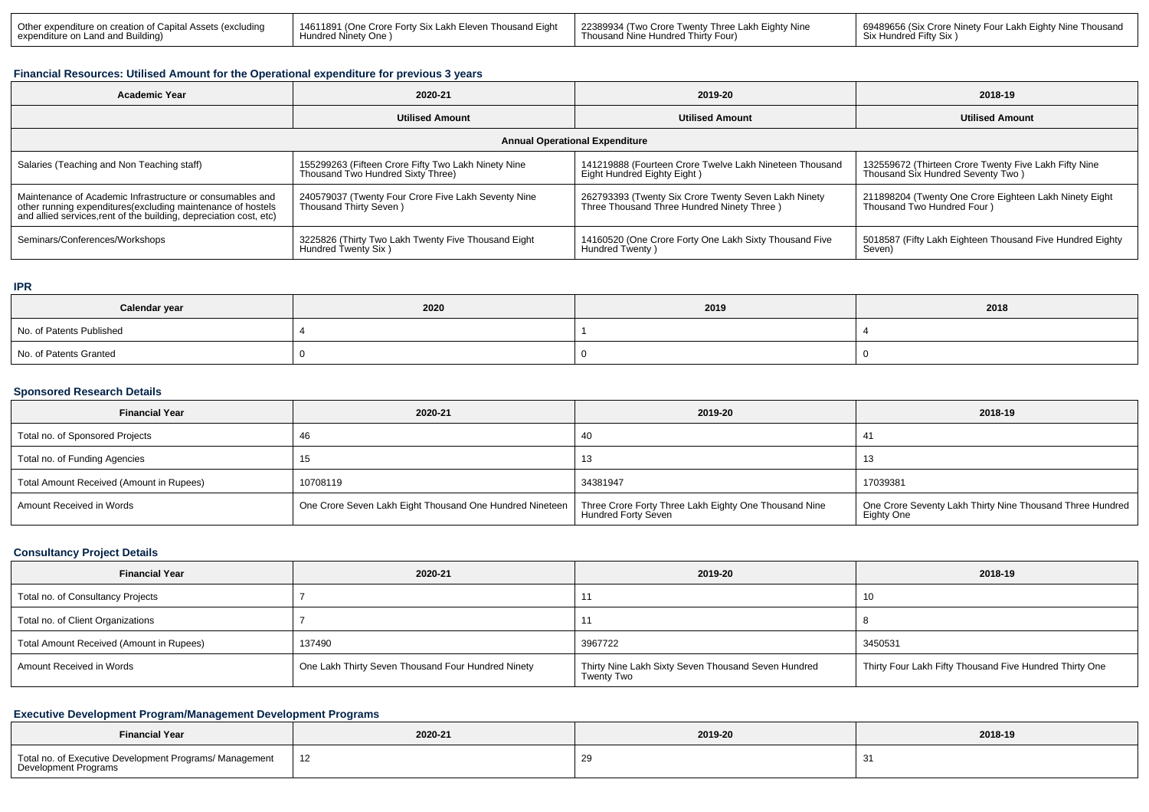| Dther expenditure on creation of Capital Assets (excluding | 14611891 (One Crore Forty Six Lakh Eleven Thousand Eight | l 22389934 (Two Crore Twenty Three Lakh Eighty Nine | 69489656 (Six Crore Ninety Four Lakh Eighty Nine Thousand |
|------------------------------------------------------------|----------------------------------------------------------|-----------------------------------------------------|-----------------------------------------------------------|
| expenditure on Land and Building)                          | Hundred Ninety One                                       | Thousand Nine Hundred Thirty Four)                  | Six Hundred Fifty Six                                     |

### **Financial Resources: Utilised Amount for the Operational expenditure for previous 3 years**

| <b>Academic Year</b>                                                                                                                                                                            | 2020-21                                                                                  | 2019-20                                                                                            | 2018-19                                                                                    |  |  |  |  |
|-------------------------------------------------------------------------------------------------------------------------------------------------------------------------------------------------|------------------------------------------------------------------------------------------|----------------------------------------------------------------------------------------------------|--------------------------------------------------------------------------------------------|--|--|--|--|
|                                                                                                                                                                                                 | <b>Utilised Amount</b>                                                                   | <b>Utilised Amount</b>                                                                             | <b>Utilised Amount</b>                                                                     |  |  |  |  |
| <b>Annual Operational Expenditure</b>                                                                                                                                                           |                                                                                          |                                                                                                    |                                                                                            |  |  |  |  |
| Salaries (Teaching and Non Teaching staff)                                                                                                                                                      | 155299263 (Fifteen Crore Fifty Two Lakh Ninety Nine<br>Thousand Two Hundred Sixty Three) | 141219888 (Fourteen Crore Twelve Lakh Nineteen Thousand<br>Eight Hundred Eighty Eight)             | 132559672 (Thirteen Crore Twenty Five Lakh Fifty Nine<br>Thousand Six Hundred Seventy Two) |  |  |  |  |
| Maintenance of Academic Infrastructure or consumables and<br>other running expenditures (excluding maintenance of hostels<br>and allied services, rent of the building, depreciation cost, etc) | 240579037 (Twenty Four Crore Five Lakh Seventy Nine<br>Thousand Thirty Seven)            | 262793393 (Twenty Six Crore Twenty Seven Lakh Ninety<br>Three Thousand Three Hundred Ninety Three) | 211898204 (Twenty One Crore Eighteen Lakh Ninety Eight<br>Thousand Two Hundred Four)       |  |  |  |  |
| Seminars/Conferences/Workshops                                                                                                                                                                  | 3225826 (Thirty Two Lakh Twenty Five Thousand Eight<br>Hundred Twenty Six )              | 14160520 (One Crore Forty One Lakh Sixty Thousand Five<br>Hundred Twenty)                          | 5018587 (Fifty Lakh Eighteen Thousand Five Hundred Eighty<br>Seven)                        |  |  |  |  |

#### **IPR**

| Calendar year            | 2020 | 2019 | 2018 |
|--------------------------|------|------|------|
| No. of Patents Published |      |      |      |
| No. of Patents Granted   |      |      |      |

## **Sponsored Research Details**

| <b>Financial Year</b>                    | 2020-21                                                  | 2019-20                                                                             | 2018-19                                                                   |
|------------------------------------------|----------------------------------------------------------|-------------------------------------------------------------------------------------|---------------------------------------------------------------------------|
| Total no. of Sponsored Projects          |                                                          | 40                                                                                  | -41                                                                       |
| Total no. of Funding Agencies            | 15                                                       | 13                                                                                  |                                                                           |
| Total Amount Received (Amount in Rupees) | 10708119                                                 | 34381947                                                                            | 17039381                                                                  |
| Amount Received in Words                 | One Crore Seven Lakh Eight Thousand One Hundred Nineteen | Three Crore Forty Three Lakh Eighty One Thousand Nine<br><b>Hundred Forty Seven</b> | One Crore Seventy Lakh Thirty Nine Thousand Three Hundred  <br>Eighty One |

### **Consultancy Project Details**

| <b>Financial Year</b>                    | 2020-21                                            | 2019-20                                                           | 2018-19                                                 |
|------------------------------------------|----------------------------------------------------|-------------------------------------------------------------------|---------------------------------------------------------|
| Total no. of Consultancy Projects        |                                                    |                                                                   |                                                         |
| Total no. of Client Organizations        |                                                    |                                                                   |                                                         |
| Total Amount Received (Amount in Rupees) | 137490                                             | 3967722                                                           | 3450531                                                 |
| Amount Received in Words                 | One Lakh Thirty Seven Thousand Four Hundred Ninety | Thirty Nine Lakh Sixty Seven Thousand Seven Hundred<br>Twenty Two | Thirty Four Lakh Fifty Thousand Five Hundred Thirty One |

## **Executive Development Program/Management Development Programs**

| <b>Financial Year</b>                                                           | 2020-21 | 2019-20 | 2018-19    |
|---------------------------------------------------------------------------------|---------|---------|------------|
| Total no. of Executive Development Programs/ Management<br>Development Programs | 12      |         | C.<br>- 31 |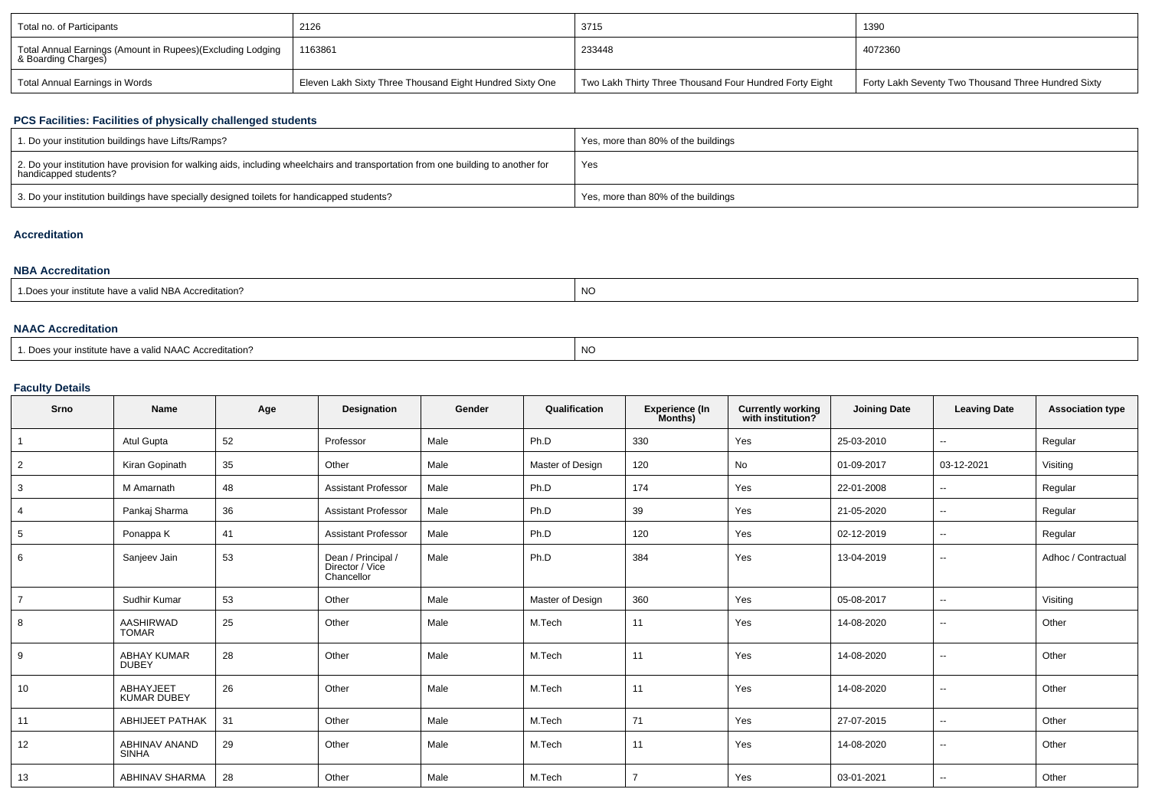| Total no. of Participants                                                         | 2126                                                     | 3715                                                    | 1390                                                |
|-----------------------------------------------------------------------------------|----------------------------------------------------------|---------------------------------------------------------|-----------------------------------------------------|
| Total Annual Earnings (Amount in Rupees)(Excluding Lodging<br>& Boarding Charges) | 1163861                                                  | 233448                                                  | 4072360                                             |
| Total Annual Earnings in Words                                                    | Eleven Lakh Sixty Three Thousand Eight Hundred Sixty One | Two Lakh Thirty Three Thousand Four Hundred Forty Eight | Forty Lakh Seventy Two Thousand Three Hundred Sixty |

# **PCS Facilities: Facilities of physically challenged students**

| 1. Do your institution buildings have Lifts/Ramps?                                                                                                         | Yes, more than 80% of the buildings |
|------------------------------------------------------------------------------------------------------------------------------------------------------------|-------------------------------------|
| 2. Do your institution have provision for walking aids, including wheelchairs and transportation from one building to another for<br>handicapped students? | Yes                                 |
| 3. Do your institution buildings have specially designed toilets for handicapped students?                                                                 | Yes, more than 80% of the buildings |

# **Accreditation**

| <b>NBA Accreditation</b>                               |    |  |  |  |  |  |  |  |  |
|--------------------------------------------------------|----|--|--|--|--|--|--|--|--|
| 1. Does your institute have a valid NBA Accreditation? | NO |  |  |  |  |  |  |  |  |

## **NAAC Accreditation**

| 1. Does vour institute have a valid NAAC Accreditation? | NO. |
|---------------------------------------------------------|-----|
|---------------------------------------------------------|-----|

## **Faculty Details**

| Srno            | <b>Name</b>                        | Age | <b>Designation</b>                                  | Gender | Qualification    | <b>Experience (In</b><br>Months) | <b>Currently working</b><br>with institution? | <b>Joining Date</b> | <b>Leaving Date</b>      | <b>Association type</b> |
|-----------------|------------------------------------|-----|-----------------------------------------------------|--------|------------------|----------------------------------|-----------------------------------------------|---------------------|--------------------------|-------------------------|
| $\overline{1}$  | Atul Gupta                         | 52  | Professor                                           | Male   | Ph.D             | 330                              | Yes                                           | 25-03-2010          | $\overline{\phantom{a}}$ | Regular                 |
| $\overline{2}$  | Kiran Gopinath                     | 35  | Other                                               | Male   | Master of Design | 120                              | No                                            | 01-09-2017          | 03-12-2021               | Visiting                |
| 3               | M Amarnath                         | 48  | <b>Assistant Professor</b>                          | Male   | Ph.D             | 174                              | Yes                                           | 22-01-2008          | $\overline{\phantom{a}}$ | Regular                 |
| $\overline{4}$  | Pankaj Sharma                      | 36  | <b>Assistant Professor</b>                          | Male   | Ph.D             | 39                               | Yes                                           | 21-05-2020          | $\overline{\phantom{a}}$ | Regular                 |
| $5\overline{5}$ | Ponappa K                          | 41  | <b>Assistant Professor</b>                          | Male   | Ph.D             | 120                              | Yes                                           | 02-12-2019          | $\sim$                   | Regular                 |
| 6               | Sanjeev Jain                       | 53  | Dean / Principal /<br>Director / Vice<br>Chancellor | Male   | Ph.D             | 384                              | Yes                                           | 13-04-2019          | $\sim$                   | Adhoc / Contractual     |
| $\overline{7}$  | Sudhir Kumar                       | 53  | Other                                               | Male   | Master of Design | 360                              | Yes                                           | 05-08-2017          | $\sim$                   | Visiting                |
| 8               | <b>AASHIRWAD</b><br><b>TOMAR</b>   | 25  | Other                                               | Male   | M.Tech           | 11                               | Yes                                           | 14-08-2020          | $\sim$                   | Other                   |
| 9               | <b>ABHAY KUMAR</b><br><b>DUBEY</b> | 28  | Other                                               | Male   | M.Tech           | 11                               | Yes                                           | 14-08-2020          | $\overline{\phantom{a}}$ | Other                   |
| 10              | ABHAYJEET<br><b>KUMAR DUBEY</b>    | 26  | Other                                               | Male   | M.Tech           | 11                               | Yes                                           | 14-08-2020          | $\overline{\phantom{a}}$ | Other                   |
| 11              | <b>ABHIJEET PATHAK</b>             | 31  | Other                                               | Male   | M.Tech           | 71                               | Yes                                           | 27-07-2015          | $\sim$                   | Other                   |
| 12              | ABHINAV ANAND<br><b>SINHA</b>      | 29  | Other                                               | Male   | M.Tech           | 11                               | Yes                                           | 14-08-2020          | $\sim$                   | Other                   |
| 13              | ABHINAV SHARMA                     | 28  | Other                                               | Male   | M.Tech           | $\overline{7}$                   | Yes                                           | 03-01-2021          | $\sim$                   | Other                   |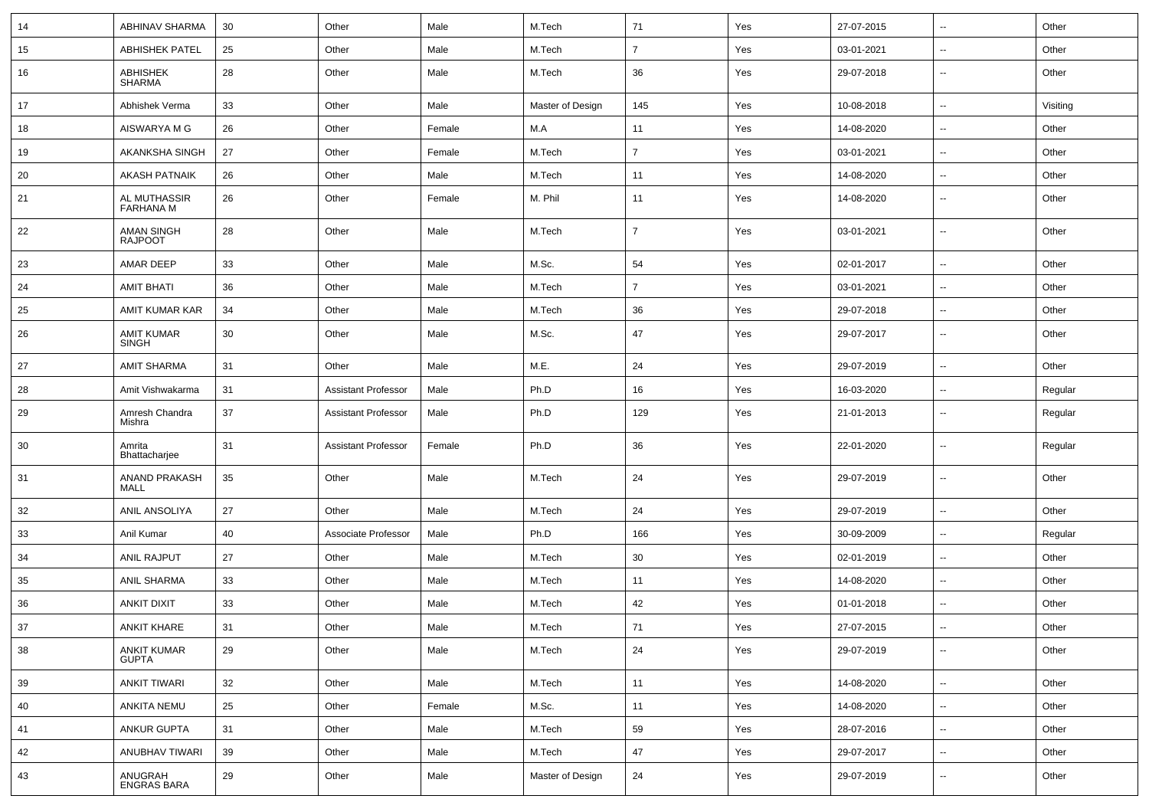| 14 | ABHINAV SHARMA                      | 30 | Other                      | Male   | M.Tech           | 71             | Yes | 27-07-2015 | $\sim$                   | Other    |
|----|-------------------------------------|----|----------------------------|--------|------------------|----------------|-----|------------|--------------------------|----------|
| 15 | <b>ABHISHEK PATEL</b>               | 25 | Other                      | Male   | M.Tech           | $\overline{7}$ | Yes | 03-01-2021 | $\sim$                   | Other    |
| 16 | <b>ABHISHEK</b><br><b>SHARMA</b>    | 28 | Other                      | Male   | M.Tech           | 36             | Yes | 29-07-2018 | $\sim$                   | Other    |
| 17 | Abhishek Verma                      | 33 | Other                      | Male   | Master of Design | 145            | Yes | 10-08-2018 | $\sim$                   | Visiting |
| 18 | AISWARYA M G                        | 26 | Other                      | Female | M.A              | 11             | Yes | 14-08-2020 | $\overline{\phantom{a}}$ | Other    |
| 19 | AKANKSHA SINGH                      | 27 | Other                      | Female | M.Tech           | $\overline{7}$ | Yes | 03-01-2021 | $\sim$                   | Other    |
| 20 | <b>AKASH PATNAIK</b>                | 26 | Other                      | Male   | M.Tech           | 11             | Yes | 14-08-2020 | $\sim$                   | Other    |
| 21 | AL MUTHASSIR<br>FARHANA M           | 26 | Other                      | Female | M. Phil          | 11             | Yes | 14-08-2020 | $\sim$                   | Other    |
| 22 | <b>AMAN SINGH</b><br><b>RAJPOOT</b> | 28 | Other                      | Male   | M.Tech           | $\overline{7}$ | Yes | 03-01-2021 | $\sim$                   | Other    |
| 23 | AMAR DEEP                           | 33 | Other                      | Male   | M.Sc.            | 54             | Yes | 02-01-2017 | $\sim$                   | Other    |
| 24 | <b>AMIT BHATI</b>                   | 36 | Other                      | Male   | M.Tech           | $\overline{7}$ | Yes | 03-01-2021 | $\sim$                   | Other    |
| 25 | AMIT KUMAR KAR                      | 34 | Other                      | Male   | M.Tech           | 36             | Yes | 29-07-2018 | $\sim$                   | Other    |
| 26 | <b>AMIT KUMAR</b><br><b>SINGH</b>   | 30 | Other                      | Male   | M.Sc.            | 47             | Yes | 29-07-2017 | $\sim$                   | Other    |
| 27 | <b>AMIT SHARMA</b>                  | 31 | Other                      | Male   | M.E.             | 24             | Yes | 29-07-2019 | $\sim$                   | Other    |
| 28 | Amit Vishwakarma                    | 31 | <b>Assistant Professor</b> | Male   | Ph.D             | 16             | Yes | 16-03-2020 | $\sim$                   | Regular  |
| 29 | Amresh Chandra<br>Mishra            | 37 | <b>Assistant Professor</b> | Male   | Ph.D             | 129            | Yes | 21-01-2013 | $\sim$                   | Regular  |
| 30 | Amrita<br>Bhattacharjee             | 31 | <b>Assistant Professor</b> | Female | Ph.D             | 36             | Yes | 22-01-2020 | $\sim$                   | Regular  |
| 31 | ANAND PRAKASH<br>MALL               | 35 | Other                      | Male   | M.Tech           | 24             | Yes | 29-07-2019 | $\sim$                   | Other    |
| 32 | ANIL ANSOLIYA                       | 27 | Other                      | Male   | M.Tech           | 24             | Yes | 29-07-2019 | $\sim$                   | Other    |
| 33 | Anil Kumar                          | 40 | Associate Professor        | Male   | Ph.D             | 166            | Yes | 30-09-2009 | $\sim$                   | Regular  |
| 34 | ANIL RAJPUT                         | 27 | Other                      | Male   | M.Tech           | 30             | Yes | 02-01-2019 | $\sim$                   | Other    |
| 35 | ANIL SHARMA                         | 33 | Other                      | Male   | M.Tech           | 11             | Yes | 14-08-2020 | $\sim$                   | Other    |
| 36 | <b>ANKIT DIXIT</b>                  | 33 | Other                      | Male   | M.Tech           | 42             | Yes | 01-01-2018 | $\sim$                   | Other    |
| 37 | ANKIT KHARE                         | 31 | Other                      | Male   | M.Tech           | $71$           | Yes | 27-07-2015 | --                       | Other    |
| 38 | ANKIT KUMAR<br>GUPTA                | 29 | Other                      | Male   | M.Tech           | 24             | Yes | 29-07-2019 | $\sim$                   | Other    |
| 39 | ANKIT TIWARI                        | 32 | Other                      | Male   | M.Tech           | 11             | Yes | 14-08-2020 | $\sim$                   | Other    |
| 40 | <b>ANKITA NEMU</b>                  | 25 | Other                      | Female | M.Sc.            | 11             | Yes | 14-08-2020 | $\sim$                   | Other    |
| 41 | ANKUR GUPTA                         | 31 | Other                      | Male   | M.Tech           | 59             | Yes | 28-07-2016 | $\sim$                   | Other    |
| 42 | ANUBHAV TIWARI                      | 39 | Other                      | Male   | M.Tech           | 47             | Yes | 29-07-2017 | $\sim$                   | Other    |
| 43 | ANUGRAH<br>ENGRAS BARA              | 29 | Other                      | Male   | Master of Design | 24             | Yes | 29-07-2019 | $\sim$                   | Other    |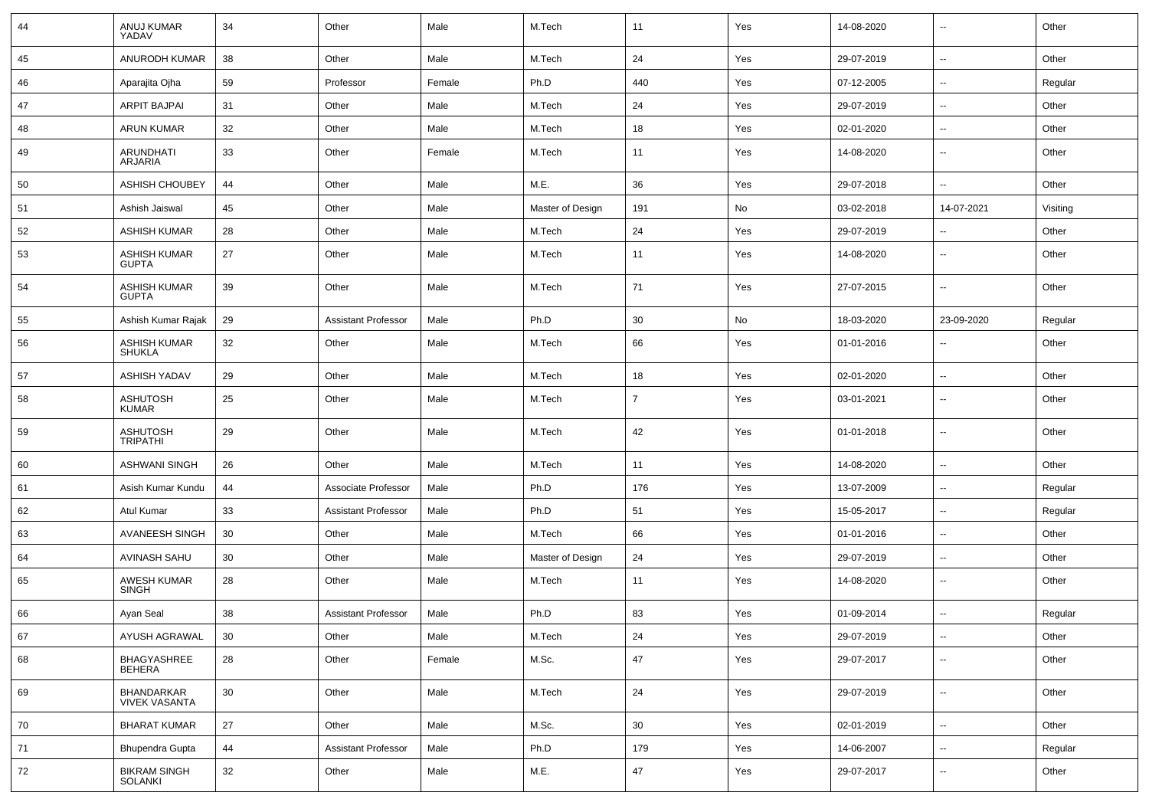| 44 | ANUJ KUMAR<br>YADAV                  | 34     | Other                      | Male   | M.Tech           | 11             | Yes | 14-08-2020 | $\overline{\phantom{a}}$ | Other    |
|----|--------------------------------------|--------|----------------------------|--------|------------------|----------------|-----|------------|--------------------------|----------|
| 45 | <b>ANURODH KUMAR</b>                 | 38     | Other                      | Male   | M.Tech           | 24             | Yes | 29-07-2019 | $\sim$                   | Other    |
| 46 | Aparajita Ojha                       | 59     | Professor                  | Female | Ph.D             | 440            | Yes | 07-12-2005 | ⊷.                       | Regular  |
| 47 | <b>ARPIT BAJPAI</b>                  | 31     | Other                      | Male   | M.Tech           | 24             | Yes | 29-07-2019 | $\overline{\phantom{a}}$ | Other    |
| 48 | <b>ARUN KUMAR</b>                    | 32     | Other                      | Male   | M.Tech           | 18             | Yes | 02-01-2020 | $\overline{\phantom{a}}$ | Other    |
| 49 | ARUNDHATI<br><b>ARJARIA</b>          | 33     | Other                      | Female | M.Tech           | 11             | Yes | 14-08-2020 | -−                       | Other    |
| 50 | <b>ASHISH CHOUBEY</b>                | 44     | Other                      | Male   | M.E.             | 36             | Yes | 29-07-2018 | --                       | Other    |
| 51 | Ashish Jaiswal                       | 45     | Other                      | Male   | Master of Design | 191            | No  | 03-02-2018 | 14-07-2021               | Visiting |
| 52 | <b>ASHISH KUMAR</b>                  | 28     | Other                      | Male   | M.Tech           | 24             | Yes | 29-07-2019 | $\overline{\phantom{a}}$ | Other    |
| 53 | <b>ASHISH KUMAR</b><br><b>GUPTA</b>  | 27     | Other                      | Male   | M.Tech           | 11             | Yes | 14-08-2020 | $\overline{\phantom{a}}$ | Other    |
| 54 | <b>ASHISH KUMAR</b><br><b>GUPTA</b>  | 39     | Other                      | Male   | M.Tech           | 71             | Yes | 27-07-2015 | ⊷.                       | Other    |
| 55 | Ashish Kumar Rajak                   | 29     | <b>Assistant Professor</b> | Male   | Ph.D             | 30             | No  | 18-03-2020 | 23-09-2020               | Regular  |
| 56 | <b>ASHISH KUMAR</b><br><b>SHUKLA</b> | 32     | Other                      | Male   | M.Tech           | 66             | Yes | 01-01-2016 | $\overline{\phantom{a}}$ | Other    |
| 57 | <b>ASHISH YADAV</b>                  | 29     | Other                      | Male   | M.Tech           | 18             | Yes | 02-01-2020 | ⊷.                       | Other    |
| 58 | <b>ASHUTOSH</b><br><b>KUMAR</b>      | 25     | Other                      | Male   | M.Tech           | $\overline{7}$ | Yes | 03-01-2021 | --                       | Other    |
| 59 | <b>ASHUTOSH</b><br><b>TRIPATHI</b>   | 29     | Other                      | Male   | M.Tech           | 42             | Yes | 01-01-2018 | $\overline{\phantom{a}}$ | Other    |
| 60 | <b>ASHWANI SINGH</b>                 | 26     | Other                      | Male   | M.Tech           | 11             | Yes | 14-08-2020 | $\overline{\phantom{a}}$ | Other    |
| 61 | Asish Kumar Kundu                    | 44     | Associate Professor        | Male   | Ph.D             | 176            | Yes | 13-07-2009 | $\overline{\phantom{a}}$ | Regular  |
| 62 | Atul Kumar                           | 33     | <b>Assistant Professor</b> | Male   | Ph.D             | 51             | Yes | 15-05-2017 | $\overline{\phantom{a}}$ | Regular  |
| 63 | <b>AVANEESH SINGH</b>                | 30     | Other                      | Male   | M.Tech           | 66             | Yes | 01-01-2016 | $\overline{\phantom{a}}$ | Other    |
| 64 | AVINASH SAHU                         | 30     | Other                      | Male   | Master of Design | 24             | Yes | 29-07-2019 | ⊷.                       | Other    |
| 65 | <b>AWESH KUMAR</b><br><b>SINGH</b>   | 28     | Other                      | Male   | M.Tech           | 11             | Yes | 14-08-2020 | --                       | Other    |
| 66 | Ayan Seal                            | 38     | <b>Assistant Professor</b> | Male   | Ph.D             | 83             | Yes | 01-09-2014 | --                       | Regular  |
| 67 | AYUSH AGRAWAL                        | 30     | Other                      | Male   | M.Tech           | 24             | Yes | 29-07-2019 | $\overline{\phantom{a}}$ | Other    |
| 68 | BHAGYASHREE<br><b>BEHERA</b>         | 28     | Other                      | Female | M.Sc.            | 47             | Yes | 29-07-2017 | -−                       | Other    |
| 69 | BHANDARKAR<br><b>VIVEK VASANTA</b>   | 30     | Other                      | Male   | M.Tech           | 24             | Yes | 29-07-2019 | $\sim$                   | Other    |
| 70 | <b>BHARAT KUMAR</b>                  | $27\,$ | Other                      | Male   | M.Sc.            | 30             | Yes | 02-01-2019 | ⊷.                       | Other    |
| 71 | Bhupendra Gupta                      | 44     | <b>Assistant Professor</b> | Male   | Ph.D             | 179            | Yes | 14-06-2007 | $\sim$                   | Regular  |
| 72 | <b>BIKRAM SINGH</b><br>SOLANKI       | 32     | Other                      | Male   | M.E.             | 47             | Yes | 29-07-2017 | $\overline{\phantom{a}}$ | Other    |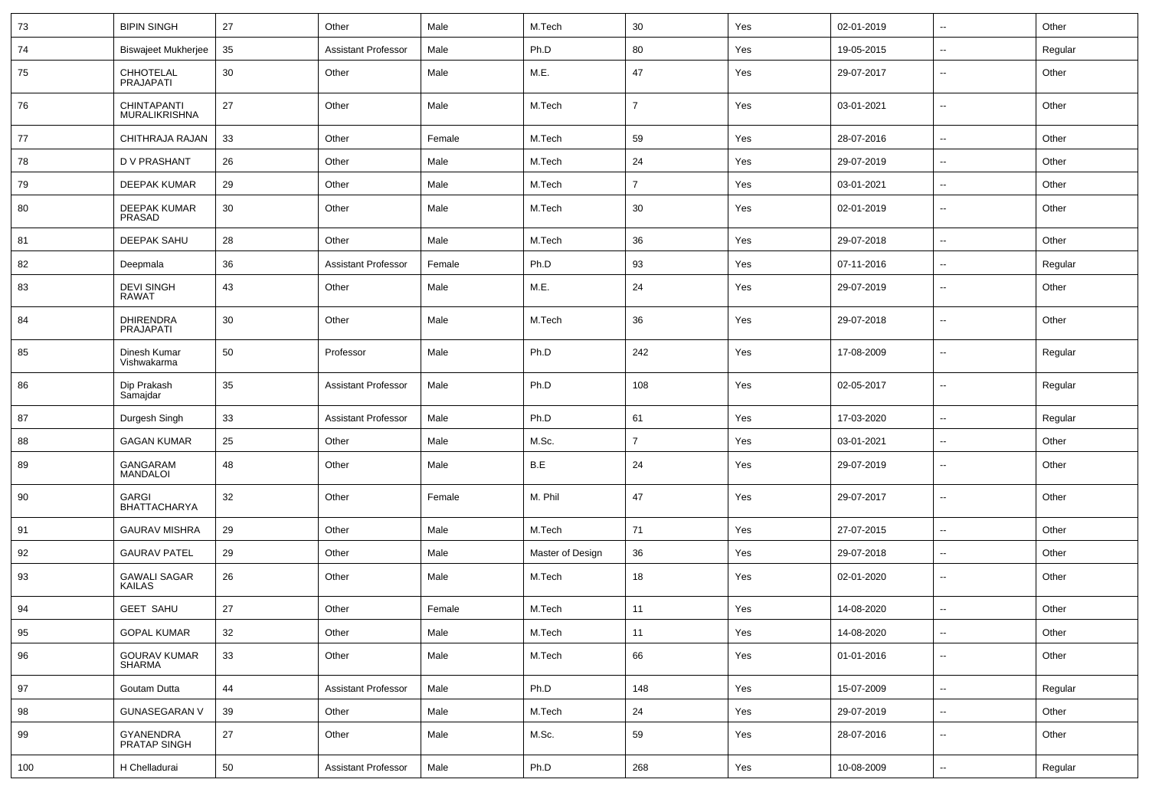| 73  | <b>BIPIN SINGH</b>                   | 27 | Other                      | Male   | M.Tech           | 30             | Yes | 02-01-2019 | $\sim$                   | Other   |
|-----|--------------------------------------|----|----------------------------|--------|------------------|----------------|-----|------------|--------------------------|---------|
| 74  | <b>Biswajeet Mukherjee</b>           | 35 | <b>Assistant Professor</b> | Male   | Ph.D             | 80             | Yes | 19-05-2015 | $\sim$                   | Regular |
| 75  | CHHOTELAL<br><b>PRAJAPATI</b>        | 30 | Other                      | Male   | M.E.             | 47             | Yes | 29-07-2017 | $\sim$                   | Other   |
| 76  | CHINTAPANTI<br>MURALIKRISHNA         | 27 | Other                      | Male   | M.Tech           | $\overline{7}$ | Yes | 03-01-2021 | $\sim$                   | Other   |
| 77  | CHITHRAJA RAJAN                      | 33 | Other                      | Female | M.Tech           | 59             | Yes | 28-07-2016 | $\overline{\phantom{a}}$ | Other   |
| 78  | <b>DV PRASHANT</b>                   | 26 | Other                      | Male   | M.Tech           | 24             | Yes | 29-07-2019 | $\overline{\phantom{a}}$ | Other   |
| 79  | <b>DEEPAK KUMAR</b>                  | 29 | Other                      | Male   | M.Tech           | $\overline{7}$ | Yes | 03-01-2021 | $\overline{\phantom{a}}$ | Other   |
| 80  | DEEPAK KUMAR<br>PRASAD               | 30 | Other                      | Male   | M.Tech           | 30             | Yes | 02-01-2019 | $\sim$                   | Other   |
| 81  | <b>DEEPAK SAHU</b>                   | 28 | Other                      | Male   | M.Tech           | 36             | Yes | 29-07-2018 | $\sim$                   | Other   |
| 82  | Deepmala                             | 36 | <b>Assistant Professor</b> | Female | Ph.D             | 93             | Yes | 07-11-2016 | $\sim$                   | Regular |
| 83  | <b>DEVI SINGH</b><br><b>RAWAT</b>    | 43 | Other                      | Male   | M.E.             | 24             | Yes | 29-07-2019 | $\overline{\phantom{a}}$ | Other   |
| 84  | <b>DHIRENDRA</b><br><b>PRAJAPATI</b> | 30 | Other                      | Male   | M.Tech           | 36             | Yes | 29-07-2018 | $\sim$                   | Other   |
| 85  | Dinesh Kumar<br>Vishwakarma          | 50 | Professor                  | Male   | Ph.D             | 242            | Yes | 17-08-2009 | $\overline{\phantom{a}}$ | Regular |
| 86  | Dip Prakash<br>Samajdar              | 35 | <b>Assistant Professor</b> | Male   | Ph.D             | 108            | Yes | 02-05-2017 | $\sim$                   | Regular |
| 87  | Durgesh Singh                        | 33 | <b>Assistant Professor</b> | Male   | Ph.D             | 61             | Yes | 17-03-2020 | $\sim$                   | Regular |
| 88  | <b>GAGAN KUMAR</b>                   | 25 | Other                      | Male   | M.Sc.            | $\overline{7}$ | Yes | 03-01-2021 | $\overline{\phantom{a}}$ | Other   |
| 89  | GANGARAM<br><b>MANDALOI</b>          | 48 | Other                      | Male   | B.E              | 24             | Yes | 29-07-2019 | $\overline{\phantom{a}}$ | Other   |
| 90  | <b>GARGI</b><br><b>BHATTACHARYA</b>  | 32 | Other                      | Female | M. Phil          | 47             | Yes | 29-07-2017 | $\overline{\phantom{a}}$ | Other   |
| 91  | <b>GAURAV MISHRA</b>                 | 29 | Other                      | Male   | M.Tech           | 71             | Yes | 27-07-2015 | $\sim$                   | Other   |
| 92  | <b>GAURAV PATEL</b>                  | 29 | Other                      | Male   | Master of Design | 36             | Yes | 29-07-2018 | $\overline{\phantom{a}}$ | Other   |
| 93  | <b>GAWALI SAGAR</b><br>KAILAS        | 26 | Other                      | Male   | M.Tech           | 18             | Yes | 02-01-2020 | $\sim$                   | Other   |
| 94  | <b>GEET SAHU</b>                     | 27 | Other                      | Female | M.Tech           | 11             | Yes | 14-08-2020 | $\sim$                   | Other   |
| 95  | <b>GOPAL KUMAR</b>                   | 32 | Other                      | Male   | M.Tech           | 11             | Yes | 14-08-2020 | $\sim$                   | Other   |
| 96  | <b>GOURAV KUMAR</b><br>SHARMA        | 33 | Other                      | Male   | M.Tech           | 66             | Yes | 01-01-2016 | $\sim$                   | Other   |
| 97  | Goutam Dutta                         | 44 | <b>Assistant Professor</b> | Male   | Ph.D             | 148            | Yes | 15-07-2009 | $\sim$                   | Regular |
| 98  | <b>GUNASEGARAN V</b>                 | 39 | Other                      | Male   | M.Tech           | 24             | Yes | 29-07-2019 | $\sim$                   | Other   |
| 99  | GYANENDRA<br>PRATAP SINGH            | 27 | Other                      | Male   | M.Sc.            | 59             | Yes | 28-07-2016 | $\sim$                   | Other   |
| 100 | H Chelladurai                        | 50 | <b>Assistant Professor</b> | Male   | Ph.D             | 268            | Yes | 10-08-2009 | Ξ.                       | Regular |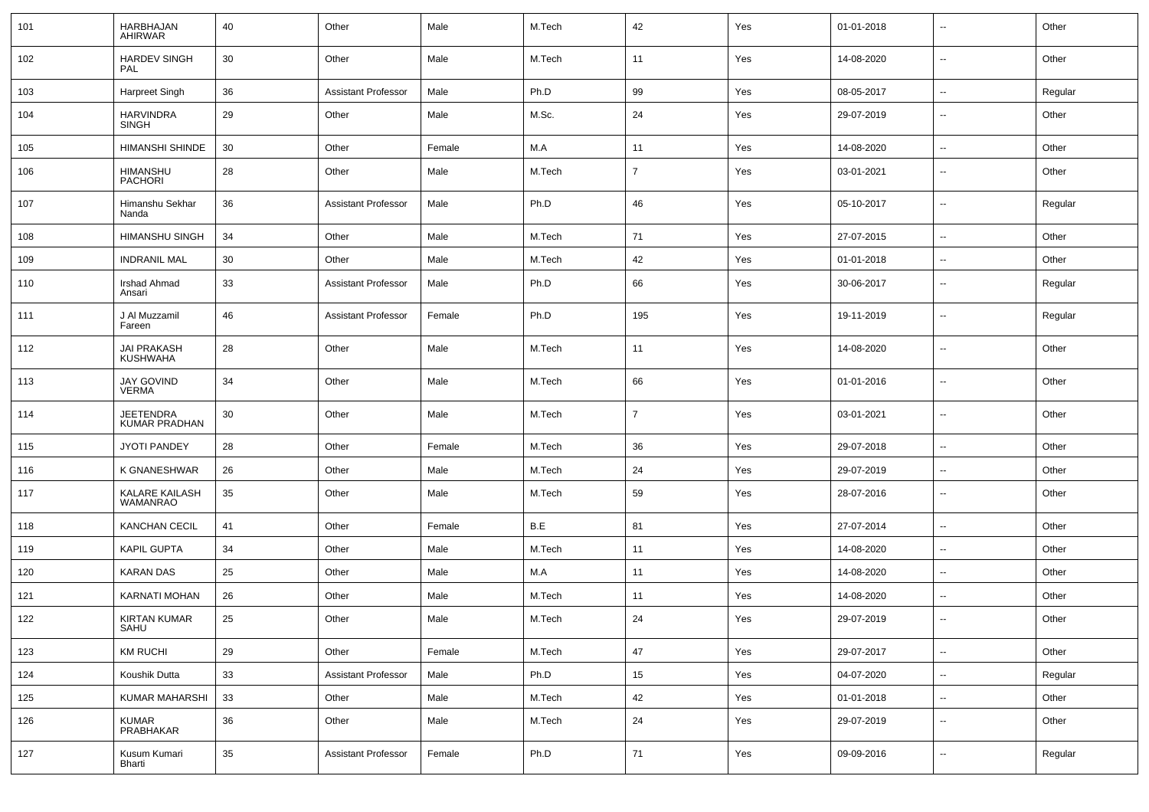| 101 | HARBHAJAN<br><b>AHIRWAR</b>              | 40     | Other                      | Male   | M.Tech | 42             | Yes | 01-01-2018 | $\overline{\phantom{a}}$ | Other   |
|-----|------------------------------------------|--------|----------------------------|--------|--------|----------------|-----|------------|--------------------------|---------|
| 102 | <b>HARDEV SINGH</b><br>PAL               | 30     | Other                      | Male   | M.Tech | 11             | Yes | 14-08-2020 | $\sim$                   | Other   |
| 103 | Harpreet Singh                           | 36     | Assistant Professor        | Male   | Ph.D   | 99             | Yes | 08-05-2017 | $\sim$                   | Regular |
| 104 | <b>HARVINDRA</b><br>SINGH                | 29     | Other                      | Male   | M.Sc.  | 24             | Yes | 29-07-2019 | $\overline{\phantom{a}}$ | Other   |
| 105 | HIMANSHI SHINDE                          | 30     | Other                      | Female | M.A    | 11             | Yes | 14-08-2020 | $\sim$                   | Other   |
| 106 | HIMANSHU<br><b>PACHORI</b>               | 28     | Other                      | Male   | M.Tech | $\overline{7}$ | Yes | 03-01-2021 | $\sim$                   | Other   |
| 107 | Himanshu Sekhar<br>Nanda                 | 36     | <b>Assistant Professor</b> | Male   | Ph.D   | 46             | Yes | 05-10-2017 | $\overline{\phantom{a}}$ | Regular |
| 108 | <b>HIMANSHU SINGH</b>                    | 34     | Other                      | Male   | M.Tech | 71             | Yes | 27-07-2015 | $\overline{\phantom{a}}$ | Other   |
| 109 | <b>INDRANIL MAL</b>                      | 30     | Other                      | Male   | M.Tech | 42             | Yes | 01-01-2018 | $\sim$                   | Other   |
| 110 | Irshad Ahmad<br>Ansari                   | 33     | <b>Assistant Professor</b> | Male   | Ph.D   | 66             | Yes | 30-06-2017 | $\overline{\phantom{a}}$ | Regular |
| 111 | J Al Muzzamil<br>Fareen                  | 46     | <b>Assistant Professor</b> | Female | Ph.D   | 195            | Yes | 19-11-2019 | $\sim$                   | Regular |
| 112 | <b>JAI PRAKASH</b><br><b>KUSHWAHA</b>    | 28     | Other                      | Male   | M.Tech | 11             | Yes | 14-08-2020 | $\mathbf{u}$             | Other   |
| 113 | <b>JAY GOVIND</b><br><b>VERMA</b>        | 34     | Other                      | Male   | M.Tech | 66             | Yes | 01-01-2016 | $\sim$                   | Other   |
| 114 | <b>JEETENDRA</b><br><b>KUMAR PRADHAN</b> | 30     | Other                      | Male   | M.Tech | $\overline{7}$ | Yes | 03-01-2021 | $\mathbf{u}$             | Other   |
| 115 | <b>JYOTI PANDEY</b>                      | 28     | Other                      | Female | M.Tech | 36             | Yes | 29-07-2018 | $\sim$                   | Other   |
| 116 | K GNANESHWAR                             | 26     | Other                      | Male   | M.Tech | 24             | Yes | 29-07-2019 | $\sim$                   | Other   |
| 117 | KALARE KAILASH<br><b>WAMANRAO</b>        | 35     | Other                      | Male   | M.Tech | 59             | Yes | 28-07-2016 | $\sim$                   | Other   |
| 118 | <b>KANCHAN CECIL</b>                     | 41     | Other                      | Female | B.E    | 81             | Yes | 27-07-2014 | $\sim$                   | Other   |
| 119 | KAPIL GUPTA                              | 34     | Other                      | Male   | M.Tech | 11             | Yes | 14-08-2020 | $\overline{\phantom{a}}$ | Other   |
| 120 | <b>KARAN DAS</b>                         | 25     | Other                      | Male   | M.A    | 11             | Yes | 14-08-2020 | $\overline{\phantom{a}}$ | Other   |
| 121 | KARNATI MOHAN                            | 26     | Other                      | Male   | M.Tech | 11             | Yes | 14-08-2020 | $\mathbf{u}$             | Other   |
| 122 | <b>KIRTAN KUMAR</b><br>SAHU              | 25     | Other                      | Male   | M.Tech | 24             | Yes | 29-07-2019 | $\overline{\phantom{a}}$ | Other   |
| 123 | <b>KM RUCHI</b>                          | 29     | Other                      | Female | M.Tech | 47             | Yes | 29-07-2017 | $\sim$                   | Other   |
| 124 | Koushik Dutta                            | 33     | <b>Assistant Professor</b> | Male   | Ph.D   | 15             | Yes | 04-07-2020 | $\sim$                   | Regular |
| 125 | KUMAR MAHARSHI                           | 33     | Other                      | Male   | M.Tech | 42             | Yes | 01-01-2018 | $\sim$                   | Other   |
| 126 | <b>KUMAR</b><br>PRABHAKAR                | 36     | Other                      | Male   | M.Tech | 24             | Yes | 29-07-2019 | $\sim$                   | Other   |
| 127 | Kusum Kumari<br>Bharti                   | $35\,$ | <b>Assistant Professor</b> | Female | Ph.D   | 71             | Yes | 09-09-2016 | $\sim$                   | Regular |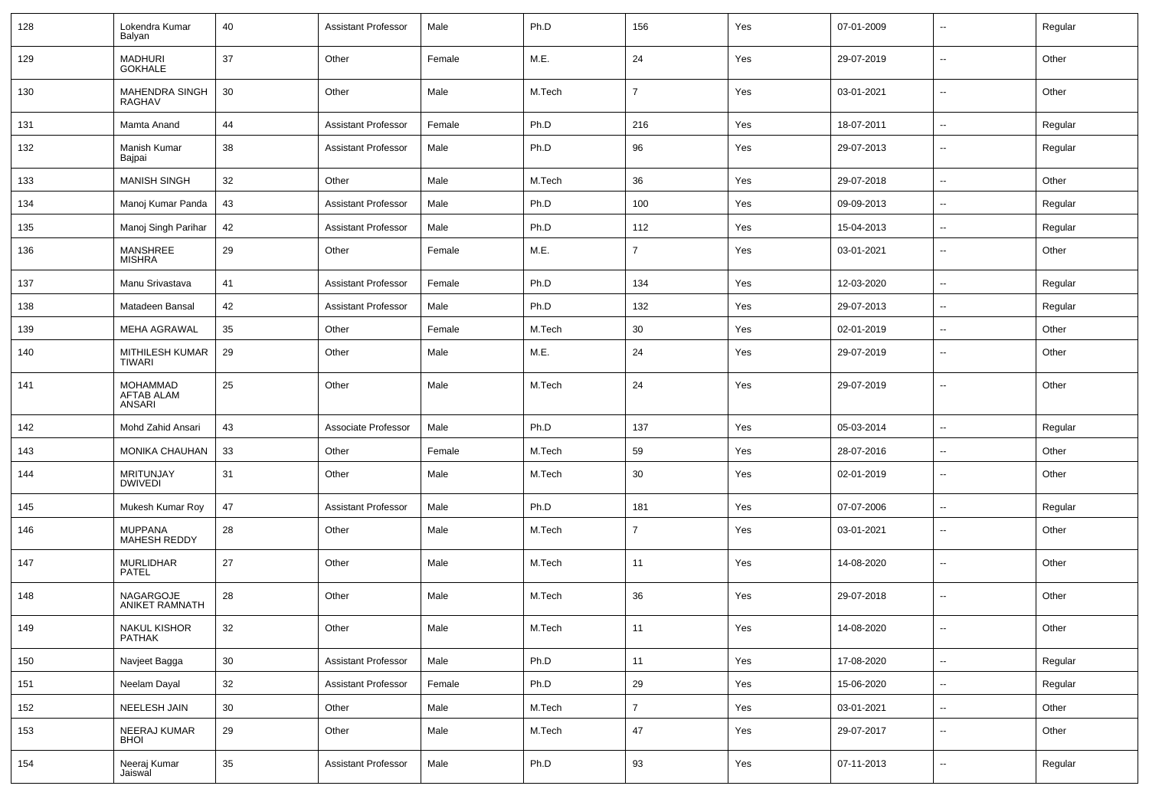| 128 | Lokendra Kumar<br>Balyan                       | 40     | <b>Assistant Professor</b> | Male   | Ph.D   | 156            | Yes | 07-01-2009 | $\overline{\phantom{a}}$ | Regular |
|-----|------------------------------------------------|--------|----------------------------|--------|--------|----------------|-----|------------|--------------------------|---------|
| 129 | MADHURI<br>GOKHALE                             | 37     | Other                      | Female | M.E.   | 24             | Yes | 29-07-2019 | $\sim$                   | Other   |
| 130 | MAHENDRA SINGH<br><b>RAGHAV</b>                | 30     | Other                      | Male   | M.Tech | $\overline{7}$ | Yes | 03-01-2021 | $\sim$                   | Other   |
| 131 | Mamta Anand                                    | 44     | <b>Assistant Professor</b> | Female | Ph.D   | 216            | Yes | 18-07-2011 | $\sim$                   | Regular |
| 132 | Manish Kumar<br>Bajpai                         | 38     | <b>Assistant Professor</b> | Male   | Ph.D   | 96             | Yes | 29-07-2013 | $\overline{\phantom{a}}$ | Regular |
| 133 | <b>MANISH SINGH</b>                            | 32     | Other                      | Male   | M.Tech | 36             | Yes | 29-07-2018 | $\overline{a}$           | Other   |
| 134 | Manoj Kumar Panda                              | 43     | <b>Assistant Professor</b> | Male   | Ph.D   | 100            | Yes | 09-09-2013 |                          | Regular |
| 135 | Manoj Singh Parihar                            | 42     | <b>Assistant Professor</b> | Male   | Ph.D   | 112            | Yes | 15-04-2013 | $\overline{\phantom{a}}$ | Regular |
| 136 | MANSHREE<br><b>MISHRA</b>                      | 29     | Other                      | Female | M.E.   | $\overline{7}$ | Yes | 03-01-2021 |                          | Other   |
| 137 | Manu Srivastava                                | 41     | <b>Assistant Professor</b> | Female | Ph.D   | 134            | Yes | 12-03-2020 | $\sim$                   | Regular |
| 138 | Matadeen Bansal                                | 42     | <b>Assistant Professor</b> | Male   | Ph.D   | 132            | Yes | 29-07-2013 | $\sim$                   | Regular |
| 139 | <b>MEHA AGRAWAL</b>                            | 35     | Other                      | Female | M.Tech | 30             | Yes | 02-01-2019 | $\sim$                   | Other   |
| 140 | MITHILESH KUMAR<br><b>TIWARI</b>               | 29     | Other                      | Male   | M.E.   | 24             | Yes | 29-07-2019 | $\overline{a}$           | Other   |
| 141 | <b>MOHAMMAD</b><br><b>AFTAB ALAM</b><br>ANSARI | 25     | Other                      | Male   | M.Tech | 24             | Yes | 29-07-2019 | $\overline{a}$           | Other   |
| 142 | Mohd Zahid Ansari                              | 43     | Associate Professor        | Male   | Ph.D   | 137            | Yes | 05-03-2014 | $\overline{\phantom{a}}$ | Regular |
| 143 | <b>MONIKA CHAUHAN</b>                          | 33     | Other                      | Female | M.Tech | 59             | Yes | 28-07-2016 | $\overline{a}$           | Other   |
| 144 | <b>MRITUNJAY</b><br><b>DWIVEDI</b>             | 31     | Other                      | Male   | M.Tech | 30             | Yes | 02-01-2019 | --                       | Other   |
| 145 | Mukesh Kumar Roy                               | 47     | <b>Assistant Professor</b> | Male   | Ph.D   | 181            | Yes | 07-07-2006 | $\overline{a}$           | Regular |
| 146 | <b>MUPPANA</b><br><b>MAHESH REDDY</b>          | 28     | Other                      | Male   | M.Tech | $\overline{7}$ | Yes | 03-01-2021 | $\overline{\phantom{a}}$ | Other   |
| 147 | <b>MURLIDHAR</b><br><b>PATEL</b>               | 27     | Other                      | Male   | M.Tech | 11             | Yes | 14-08-2020 | $\overline{\phantom{a}}$ | Other   |
| 148 | NAGARGOJE<br>ANIKET RAMNATH                    | 28     | Other                      | Male   | M.Tech | 36             | Yes | 29-07-2018 | $\overline{\phantom{a}}$ | Other   |
| 149 | NAKUL KISHOR<br>PATHAK                         | 32     | Other                      | Male   | M.Tech | 11             | Yes | 14-08-2020 |                          | Other   |
| 150 | Navjeet Bagga                                  | $30\,$ | <b>Assistant Professor</b> | Male   | Ph.D   | 11             | Yes | 17-08-2020 | $\sim$                   | Regular |
| 151 | Neelam Dayal                                   | 32     | <b>Assistant Professor</b> | Female | Ph.D   | 29             | Yes | 15-06-2020 | $\sim$                   | Regular |
| 152 | NEELESH JAIN                                   | $30\,$ | Other                      | Male   | M.Tech | $\overline{7}$ | Yes | 03-01-2021 | Ξ.                       | Other   |
| 153 | NEERAJ KUMAR<br><b>BHOI</b>                    | 29     | Other                      | Male   | M.Tech | $47\,$         | Yes | 29-07-2017 | $\sim$                   | Other   |
| 154 | Neeraj Kumar<br>Jaiswal                        | $35\,$ | <b>Assistant Professor</b> | Male   | Ph.D   | 93             | Yes | 07-11-2013 | $\sim$                   | Regular |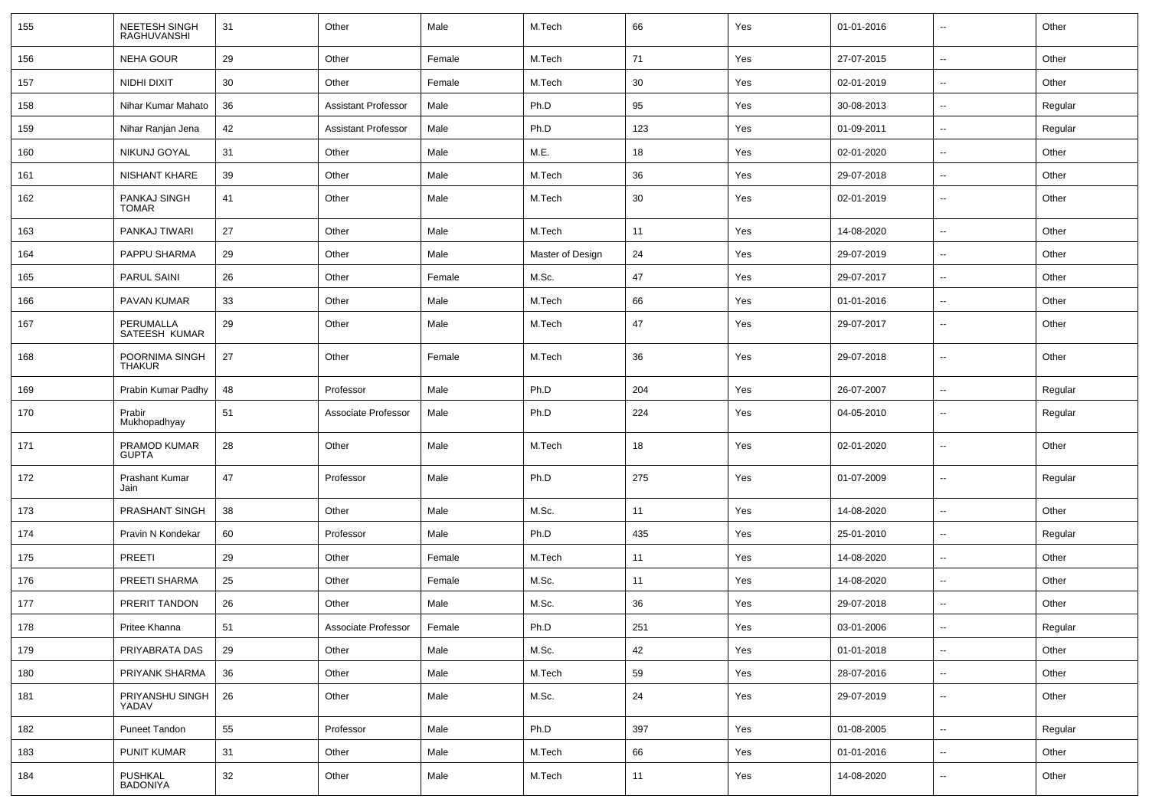| 155 | NEETESH SINGH<br>RAGHUVANSHI    | 31 | Other                      | Male   | M.Tech           | 66  | Yes | 01-01-2016 | $\overline{\phantom{a}}$ | Other   |
|-----|---------------------------------|----|----------------------------|--------|------------------|-----|-----|------------|--------------------------|---------|
| 156 | <b>NEHA GOUR</b>                | 29 | Other                      | Female | M.Tech           | 71  | Yes | 27-07-2015 | $\overline{\phantom{a}}$ | Other   |
| 157 | NIDHI DIXIT                     | 30 | Other                      | Female | M.Tech           | 30  | Yes | 02-01-2019 | $\sim$                   | Other   |
| 158 | Nihar Kumar Mahato              | 36 | Assistant Professor        | Male   | Ph.D             | 95  | Yes | 30-08-2013 | $\overline{\phantom{a}}$ | Regular |
| 159 | Nihar Ranjan Jena               | 42 | <b>Assistant Professor</b> | Male   | Ph.D             | 123 | Yes | 01-09-2011 | $\overline{\phantom{a}}$ | Regular |
| 160 | NIKUNJ GOYAL                    | 31 | Other                      | Male   | M.E.             | 18  | Yes | 02-01-2020 | $\overline{\phantom{a}}$ | Other   |
| 161 | NISHANT KHARE                   | 39 | Other                      | Male   | M.Tech           | 36  | Yes | 29-07-2018 | $\overline{\phantom{a}}$ | Other   |
| 162 | PANKAJ SINGH<br><b>TOMAR</b>    | 41 | Other                      | Male   | M.Tech           | 30  | Yes | 02-01-2019 | $\overline{\phantom{a}}$ | Other   |
| 163 | PANKAJ TIWARI                   | 27 | Other                      | Male   | M.Tech           | 11  | Yes | 14-08-2020 | $\overline{\phantom{a}}$ | Other   |
| 164 | PAPPU SHARMA                    | 29 | Other                      | Male   | Master of Design | 24  | Yes | 29-07-2019 | $\sim$                   | Other   |
| 165 | PARUL SAINI                     | 26 | Other                      | Female | M.Sc.            | 47  | Yes | 29-07-2017 | $\overline{\phantom{a}}$ | Other   |
| 166 | PAVAN KUMAR                     | 33 | Other                      | Male   | M.Tech           | 66  | Yes | 01-01-2016 | $\overline{\phantom{a}}$ | Other   |
| 167 | PERUMALLA<br>SATEESH KUMAR      | 29 | Other                      | Male   | M.Tech           | 47  | Yes | 29-07-2017 | $\overline{\phantom{a}}$ | Other   |
| 168 | POORNIMA SINGH<br><b>THAKUR</b> | 27 | Other                      | Female | M.Tech           | 36  | Yes | 29-07-2018 | $\overline{\phantom{a}}$ | Other   |
| 169 | Prabin Kumar Padhy              | 48 | Professor                  | Male   | Ph.D             | 204 | Yes | 26-07-2007 | $\overline{\phantom{a}}$ | Regular |
| 170 | Prabir<br>Mukhopadhyay          | 51 | Associate Professor        | Male   | Ph.D             | 224 | Yes | 04-05-2010 | $\sim$                   | Regular |
| 171 | PRAMOD KUMAR<br><b>GUPTA</b>    | 28 | Other                      | Male   | M.Tech           | 18  | Yes | 02-01-2020 | $\overline{\phantom{a}}$ | Other   |
| 172 | <b>Prashant Kumar</b><br>Jain   | 47 | Professor                  | Male   | Ph.D             | 275 | Yes | 01-07-2009 | $\sim$                   | Regular |
| 173 | PRASHANT SINGH                  | 38 | Other                      | Male   | M.Sc.            | 11  | Yes | 14-08-2020 | $\overline{\phantom{a}}$ | Other   |
| 174 | Pravin N Kondekar               | 60 | Professor                  | Male   | Ph.D             | 435 | Yes | 25-01-2010 | $\overline{\phantom{a}}$ | Regular |
| 175 | <b>PREETI</b>                   | 29 | Other                      | Female | M.Tech           | 11  | Yes | 14-08-2020 | $\sim$                   | Other   |
| 176 | PREETI SHARMA                   | 25 | Other                      | Female | M.Sc.            | 11  | Yes | 14-08-2020 | $\overline{\phantom{a}}$ | Other   |
| 177 | PRERIT TANDON                   | 26 | Other                      | Male   | M.Sc.            | 36  | Yes | 29-07-2018 | $\overline{\phantom{a}}$ | Other   |
| 178 | Pritee Khanna                   | 51 | Associate Professor        | Female | Ph.D             | 251 | Yes | 03-01-2006 | $- -$                    | Regular |
| 179 | PRIYABRATA DAS                  | 29 | Other                      | Male   | M.Sc.            | 42  | Yes | 01-01-2018 | $\sim$                   | Other   |
| 180 | PRIYANK SHARMA                  | 36 | Other                      | Male   | M.Tech           | 59  | Yes | 28-07-2016 | $\sim$                   | Other   |
| 181 | PRIYANSHU SINGH<br>YADAV        | 26 | Other                      | Male   | M.Sc.            | 24  | Yes | 29-07-2019 | $\sim$                   | Other   |
| 182 | Puneet Tandon                   | 55 | Professor                  | Male   | Ph.D             | 397 | Yes | 01-08-2005 | $\sim$                   | Regular |
| 183 | PUNIT KUMAR                     | 31 | Other                      | Male   | M.Tech           | 66  | Yes | 01-01-2016 | $\sim$                   | Other   |
| 184 | PUSHKAL<br>BADONIYA             | 32 | Other                      | Male   | M.Tech           | 11  | Yes | 14-08-2020 | $\overline{\phantom{a}}$ | Other   |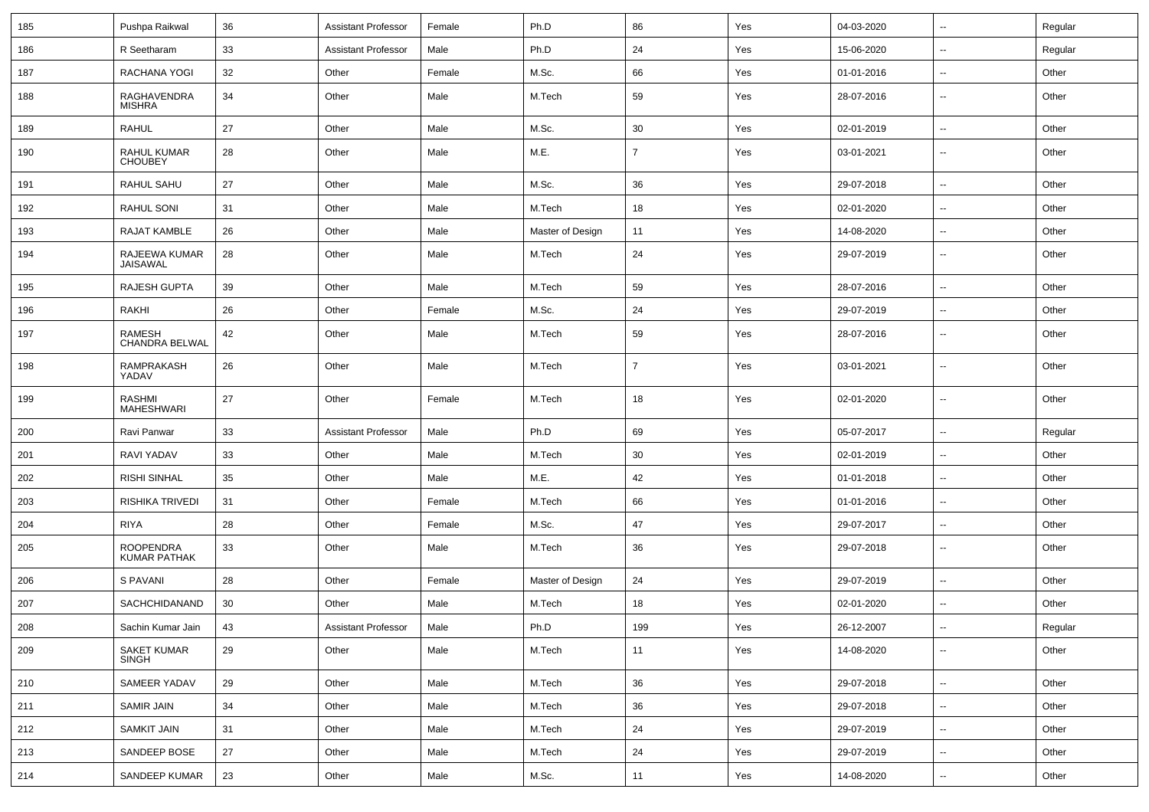| 185 | Pushpa Raikwal                          | 36 | <b>Assistant Professor</b> | Female | Ph.D             | 86             | Yes | 04-03-2020 | $\sim$                   | Regular |
|-----|-----------------------------------------|----|----------------------------|--------|------------------|----------------|-----|------------|--------------------------|---------|
| 186 | R Seetharam                             | 33 | <b>Assistant Professor</b> | Male   | Ph.D             | 24             | Yes | 15-06-2020 | $\overline{\phantom{a}}$ | Regular |
| 187 | RACHANA YOGI                            | 32 | Other                      | Female | M.Sc.            | 66             | Yes | 01-01-2016 | $\overline{\phantom{a}}$ | Other   |
| 188 | RAGHAVENDRA<br><b>MISHRA</b>            | 34 | Other                      | Male   | M.Tech           | 59             | Yes | 28-07-2016 | $\overline{\phantom{a}}$ | Other   |
| 189 | <b>RAHUL</b>                            | 27 | Other                      | Male   | M.Sc.            | 30             | Yes | 02-01-2019 | $\overline{\phantom{a}}$ | Other   |
| 190 | RAHUL KUMAR<br><b>CHOUBEY</b>           | 28 | Other                      | Male   | M.E.             | $\overline{7}$ | Yes | 03-01-2021 |                          | Other   |
| 191 | RAHUL SAHU                              | 27 | Other                      | Male   | M.Sc.            | 36             | Yes | 29-07-2018 | $\overline{\phantom{a}}$ | Other   |
| 192 | RAHUL SONI                              | 31 | Other                      | Male   | M.Tech           | 18             | Yes | 02-01-2020 | $\overline{\phantom{a}}$ | Other   |
| 193 | <b>RAJAT KAMBLE</b>                     | 26 | Other                      | Male   | Master of Design | 11             | Yes | 14-08-2020 | $\sim$                   | Other   |
| 194 | RAJEEWA KUMAR<br>JAISAWAL               | 28 | Other                      | Male   | M.Tech           | 24             | Yes | 29-07-2019 | ⊷.                       | Other   |
| 195 | <b>RAJESH GUPTA</b>                     | 39 | Other                      | Male   | M.Tech           | 59             | Yes | 28-07-2016 | $\overline{\phantom{a}}$ | Other   |
| 196 | <b>RAKHI</b>                            | 26 | Other                      | Female | M.Sc.            | 24             | Yes | 29-07-2019 | $\overline{\phantom{a}}$ | Other   |
| 197 | RAMESH<br>CHANDRA BELWAL                | 42 | Other                      | Male   | M.Tech           | 59             | Yes | 28-07-2016 | $\overline{\phantom{a}}$ | Other   |
| 198 | RAMPRAKASH<br>YADAV                     | 26 | Other                      | Male   | M.Tech           | $\overline{7}$ | Yes | 03-01-2021 | $\overline{\phantom{a}}$ | Other   |
| 199 | <b>RASHMI</b><br>MAHESHWARI             | 27 | Other                      | Female | M.Tech           | 18             | Yes | 02-01-2020 | $\overline{\phantom{a}}$ | Other   |
| 200 | Ravi Panwar                             | 33 | <b>Assistant Professor</b> | Male   | Ph.D             | 69             | Yes | 05-07-2017 | $\overline{\phantom{a}}$ | Regular |
| 201 | RAVI YADAV                              | 33 | Other                      | Male   | M.Tech           | 30             | Yes | 02-01-2019 | --                       | Other   |
| 202 | <b>RISHI SINHAL</b>                     | 35 | Other                      | Male   | M.E.             | 42             | Yes | 01-01-2018 | $\mathbf{u}$             | Other   |
| 203 | RISHIKA TRIVEDI                         | 31 | Other                      | Female | M.Tech           | 66             | Yes | 01-01-2016 | ⊷.                       | Other   |
| 204 | <b>RIYA</b>                             | 28 | Other                      | Female | M.Sc.            | 47             | Yes | 29-07-2017 | ⊷.                       | Other   |
| 205 | <b>ROOPENDRA</b><br><b>KUMAR PATHAK</b> | 33 | Other                      | Male   | M.Tech           | 36             | Yes | 29-07-2018 | ⊷.                       | Other   |
| 206 | S PAVANI                                | 28 | Other                      | Female | Master of Design | 24             | Yes | 29-07-2019 | $\overline{\phantom{a}}$ | Other   |
| 207 | SACHCHIDANAND                           | 30 | Other                      | Male   | M.Tech           | 18             | Yes | 02-01-2020 | ⊷.                       | Other   |
| 208 | Sachin Kumar Jain                       | 43 | Assistant Professor        | Male   | Ph.D             | 199            | Yes | 26-12-2007 |                          | Regular |
| 209 | SAKET KUMAR<br>SINGH                    | 29 | Other                      | Male   | M.Tech           | 11             | Yes | 14-08-2020 | $\sim$                   | Other   |
| 210 | SAMEER YADAV                            | 29 | Other                      | Male   | M.Tech           | 36             | Yes | 29-07-2018 | $\sim$                   | Other   |
| 211 | SAMIR JAIN                              | 34 | Other                      | Male   | M.Tech           | 36             | Yes | 29-07-2018 | $\sim$                   | Other   |
| 212 | SAMKIT JAIN                             | 31 | Other                      | Male   | M.Tech           | 24             | Yes | 29-07-2019 | $\sim$                   | Other   |
| 213 | SANDEEP BOSE                            | 27 | Other                      | Male   | M.Tech           | 24             | Yes | 29-07-2019 | $\sim$                   | Other   |
| 214 | SANDEEP KUMAR                           | 23 | Other                      | Male   | M.Sc.            | 11             | Yes | 14-08-2020 | $\overline{\phantom{a}}$ | Other   |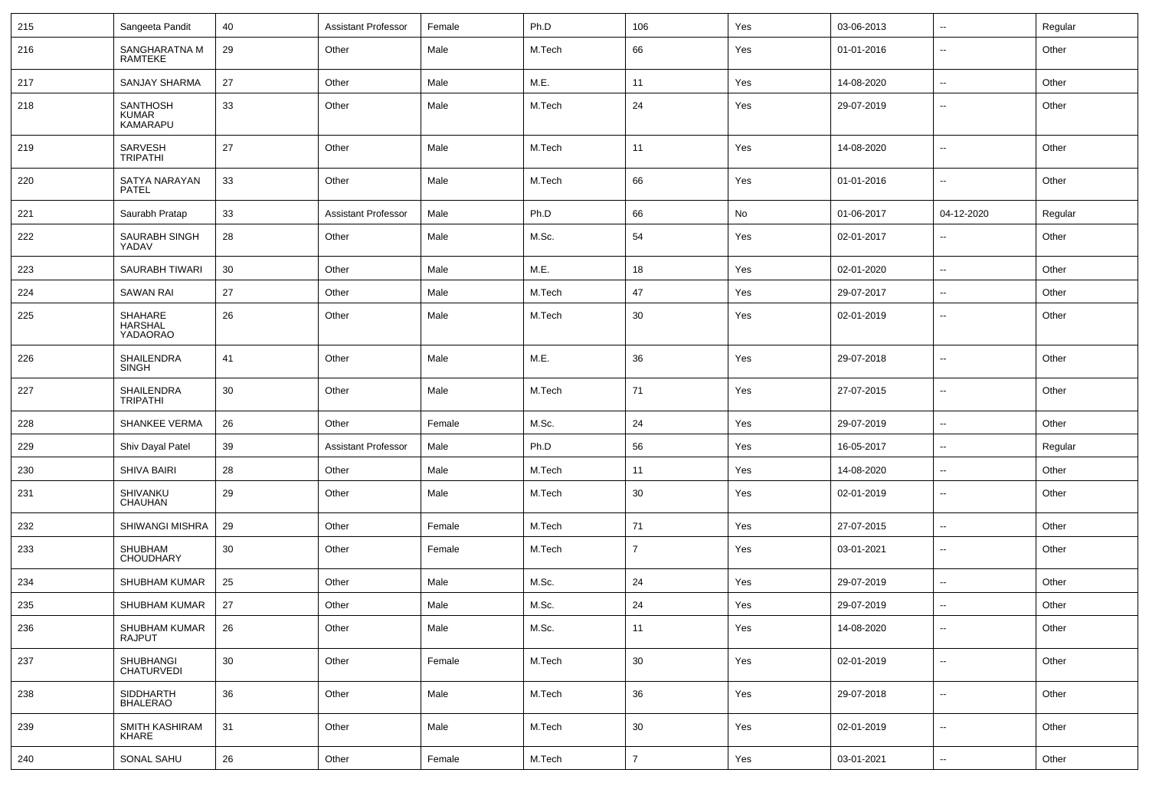| 215 | Sangeeta Pandit                             | 40              | <b>Assistant Professor</b> | Female | Ph.D   | 106            | Yes | 03-06-2013 | $\overline{\phantom{a}}$ | Regular |
|-----|---------------------------------------------|-----------------|----------------------------|--------|--------|----------------|-----|------------|--------------------------|---------|
| 216 | SANGHARATNA M<br>RAMTEKE                    | 29              | Other                      | Male   | M.Tech | 66             | Yes | 01-01-2016 | $\overline{\phantom{a}}$ | Other   |
| 217 | SANJAY SHARMA                               | 27              | Other                      | Male   | M.E.   | 11             | Yes | 14-08-2020 | $\overline{\phantom{a}}$ | Other   |
| 218 | <b>SANTHOSH</b><br><b>KUMAR</b><br>KAMARAPU | 33              | Other                      | Male   | M.Tech | 24             | Yes | 29-07-2019 | $\overline{\phantom{a}}$ | Other   |
| 219 | <b>SARVESH</b><br><b>TRIPATHI</b>           | 27              | Other                      | Male   | M.Tech | 11             | Yes | 14-08-2020 | $\overline{\phantom{a}}$ | Other   |
| 220 | SATYA NARAYAN<br><b>PATEL</b>               | 33              | Other                      | Male   | M.Tech | 66             | Yes | 01-01-2016 | $\overline{\phantom{a}}$ | Other   |
| 221 | Saurabh Pratap                              | 33              | <b>Assistant Professor</b> | Male   | Ph.D   | 66             | No  | 01-06-2017 | 04-12-2020               | Regular |
| 222 | SAURABH SINGH<br>YADAV                      | 28              | Other                      | Male   | M.Sc.  | 54             | Yes | 02-01-2017 | --                       | Other   |
| 223 | <b>SAURABH TIWARI</b>                       | 30              | Other                      | Male   | M.E.   | 18             | Yes | 02-01-2020 | $\overline{\phantom{a}}$ | Other   |
| 224 | <b>SAWAN RAI</b>                            | 27              | Other                      | Male   | M.Tech | 47             | Yes | 29-07-2017 | $\overline{\phantom{a}}$ | Other   |
| 225 | SHAHARE<br><b>HARSHAL</b><br>YADAORAO       | 26              | Other                      | Male   | M.Tech | 30             | Yes | 02-01-2019 | $\overline{\phantom{a}}$ | Other   |
| 226 | <b>SHAILENDRA</b><br><b>SINGH</b>           | 41              | Other                      | Male   | M.E.   | 36             | Yes | 29-07-2018 | $\overline{a}$           | Other   |
| 227 | SHAILENDRA<br><b>TRIPATHI</b>               | 30              | Other                      | Male   | M.Tech | 71             | Yes | 27-07-2015 | $\overline{\phantom{a}}$ | Other   |
| 228 | <b>SHANKEE VERMA</b>                        | 26              | Other                      | Female | M.Sc.  | 24             | Yes | 29-07-2019 | $\overline{\phantom{a}}$ | Other   |
| 229 | Shiv Dayal Patel                            | 39              | <b>Assistant Professor</b> | Male   | Ph.D   | 56             | Yes | 16-05-2017 | $\overline{\phantom{a}}$ | Regular |
| 230 | <b>SHIVA BAIRI</b>                          | 28              | Other                      | Male   | M.Tech | 11             | Yes | 14-08-2020 | ⊷.                       | Other   |
| 231 | SHIVANKU<br>CHAUHAN                         | 29              | Other                      | Male   | M.Tech | 30             | Yes | 02-01-2019 | --                       | Other   |
| 232 | SHIWANGI MISHRA                             | 29              | Other                      | Female | M.Tech | 71             | Yes | 27-07-2015 | $\overline{\phantom{a}}$ | Other   |
| 233 | SHUBHAM<br><b>CHOUDHARY</b>                 | 30              | Other                      | Female | M.Tech | $\overline{7}$ | Yes | 03-01-2021 | $\overline{\phantom{a}}$ | Other   |
| 234 | SHUBHAM KUMAR                               | 25              | Other                      | Male   | M.Sc.  | 24             | Yes | 29-07-2019 | $\overline{\phantom{a}}$ | Other   |
| 235 | <b>SHUBHAM KUMAR</b>                        | 27              | Other                      | Male   | M.Sc.  | 24             | Yes | 29-07-2019 | --                       | Other   |
| 236 | SHUBHAM KUMAR<br>RAJPUT                     | 26              | Other                      | Male   | M.Sc.  | 11             | Yes | 14-08-2020 |                          | Other   |
| 237 | SHUBHANGI<br>CHATURVEDI                     | 30 <sup>°</sup> | Other                      | Female | M.Tech | 30             | Yes | 02-01-2019 | ш.                       | Other   |
| 238 | SIDDHARTH<br>BHALERAO                       | 36              | Other                      | Male   | M.Tech | 36             | Yes | 29-07-2018 | Щ.                       | Other   |
| 239 | SMITH KASHIRAM<br>KHARE                     | 31              | Other                      | Male   | M.Tech | 30             | Yes | 02-01-2019 | $\overline{\phantom{a}}$ | Other   |
| 240 | SONAL SAHU                                  | 26              | Other                      | Female | M.Tech | $\overline{7}$ | Yes | 03-01-2021 | ц.                       | Other   |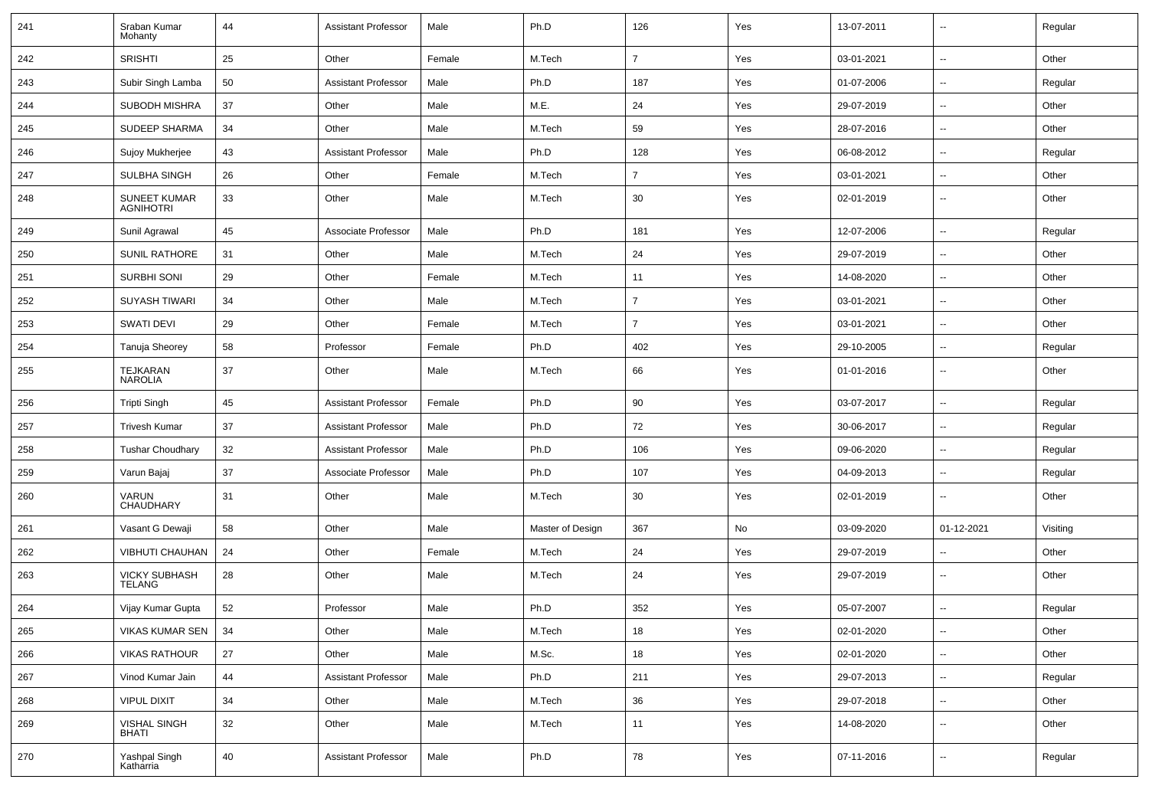| 241 | Sraban Kumar<br>Mohanty                 | 44     | <b>Assistant Professor</b> | Male   | Ph.D             | 126            | Yes | 13-07-2011 | $\overline{\phantom{a}}$ | Regular  |
|-----|-----------------------------------------|--------|----------------------------|--------|------------------|----------------|-----|------------|--------------------------|----------|
| 242 | SRISHTI                                 | 25     | Other                      | Female | M.Tech           | $\overline{7}$ | Yes | 03-01-2021 | $\overline{\phantom{a}}$ | Other    |
| 243 | Subir Singh Lamba                       | 50     | <b>Assistant Professor</b> | Male   | Ph.D             | 187            | Yes | 01-07-2006 | --                       | Regular  |
| 244 | SUBODH MISHRA                           | 37     | Other                      | Male   | M.E.             | 24             | Yes | 29-07-2019 | -−                       | Other    |
| 245 | <b>SUDEEP SHARMA</b>                    | 34     | Other                      | Male   | M.Tech           | 59             | Yes | 28-07-2016 | --                       | Other    |
| 246 | Sujoy Mukherjee                         | 43     | <b>Assistant Professor</b> | Male   | Ph.D             | 128            | Yes | 06-08-2012 | -−                       | Regular  |
| 247 | SULBHA SINGH                            | 26     | Other                      | Female | M.Tech           | $\overline{7}$ | Yes | 03-01-2021 | $\sim$                   | Other    |
| 248 | <b>SUNEET KUMAR</b><br><b>AGNIHOTRI</b> | 33     | Other                      | Male   | M.Tech           | 30             | Yes | 02-01-2019 | ⊶.                       | Other    |
| 249 | Sunil Agrawal                           | 45     | Associate Professor        | Male   | Ph.D             | 181            | Yes | 12-07-2006 | $\sim$                   | Regular  |
| 250 | <b>SUNIL RATHORE</b>                    | 31     | Other                      | Male   | M.Tech           | 24             | Yes | 29-07-2019 | --                       | Other    |
| 251 | <b>SURBHI SONI</b>                      | 29     | Other                      | Female | M.Tech           | 11             | Yes | 14-08-2020 | $\overline{\phantom{a}}$ | Other    |
| 252 | <b>SUYASH TIWARI</b>                    | 34     | Other                      | Male   | M.Tech           | $\overline{7}$ | Yes | 03-01-2021 | $\overline{\phantom{a}}$ | Other    |
| 253 | <b>SWATI DEVI</b>                       | 29     | Other                      | Female | M.Tech           | $\overline{7}$ | Yes | 03-01-2021 | -−                       | Other    |
| 254 | Tanuja Sheorey                          | 58     | Professor                  | Female | Ph.D             | 402            | Yes | 29-10-2005 | ⊷.                       | Regular  |
| 255 | TEJKARAN<br><b>NAROLIA</b>              | 37     | Other                      | Male   | M.Tech           | 66             | Yes | 01-01-2016 | ⊷.                       | Other    |
| 256 | <b>Tripti Singh</b>                     | 45     | <b>Assistant Professor</b> | Female | Ph.D             | 90             | Yes | 03-07-2017 | ⊶.                       | Regular  |
| 257 | <b>Trivesh Kumar</b>                    | 37     | <b>Assistant Professor</b> | Male   | Ph.D             | 72             | Yes | 30-06-2017 | -−                       | Regular  |
| 258 | <b>Tushar Choudhary</b>                 | 32     | <b>Assistant Professor</b> | Male   | Ph.D             | 106            | Yes | 09-06-2020 | ⊷.                       | Regular  |
| 259 | Varun Bajaj                             | 37     | Associate Professor        | Male   | Ph.D             | 107            | Yes | 04-09-2013 | --                       | Regular  |
| 260 | <b>VARUN</b><br>CHAUDHARY               | 31     | Other                      | Male   | M.Tech           | 30             | Yes | 02-01-2019 | -−                       | Other    |
| 261 | Vasant G Dewaji                         | 58     | Other                      | Male   | Master of Design | 367            | No  | 03-09-2020 | 01-12-2021               | Visiting |
| 262 | <b>VIBHUTI CHAUHAN</b>                  | 24     | Other                      | Female | M.Tech           | 24             | Yes | 29-07-2019 | ⊷.                       | Other    |
| 263 | <b>VICKY SUBHASH</b><br>TELANG          | 28     | Other                      | Male   | M.Tech           | 24             | Yes | 29-07-2019 | $\overline{\phantom{a}}$ | Other    |
| 264 | Vijay Kumar Gupta                       | 52     | Professor                  | Male   | Ph.D             | 352            | Yes | 05-07-2007 | $\overline{\phantom{a}}$ | Regular  |
| 265 | VIKAS KUMAR SEN                         | 34     | Other                      | Male   | M.Tech           | 18             | Yes | 02-01-2020 | $\overline{\phantom{a}}$ | Other    |
| 266 | <b>VIKAS RATHOUR</b>                    | 27     | Other                      | Male   | M.Sc.            | 18             | Yes | 02-01-2020 | ш.                       | Other    |
| 267 | Vinod Kumar Jain                        | 44     | <b>Assistant Professor</b> | Male   | Ph.D             | 211            | Yes | 29-07-2013 | $\sim$                   | Regular  |
| 268 | <b>VIPUL DIXIT</b>                      | $34\,$ | Other                      | Male   | M.Tech           | 36             | Yes | 29-07-2018 | ш.                       | Other    |
| 269 | <b>VISHAL SINGH</b><br>BHATI            | 32     | Other                      | Male   | M.Tech           | 11             | Yes | 14-08-2020 | ш.                       | Other    |
| 270 | Yashpal Singh<br>Katharria              | 40     | <b>Assistant Professor</b> | Male   | Ph.D             | 78             | Yes | 07-11-2016 | $\overline{\phantom{a}}$ | Regular  |